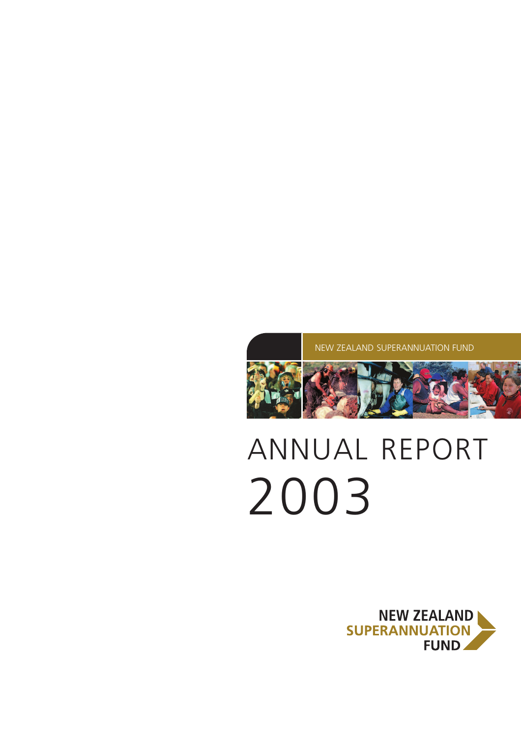

# ANNUAL REPORT 2003

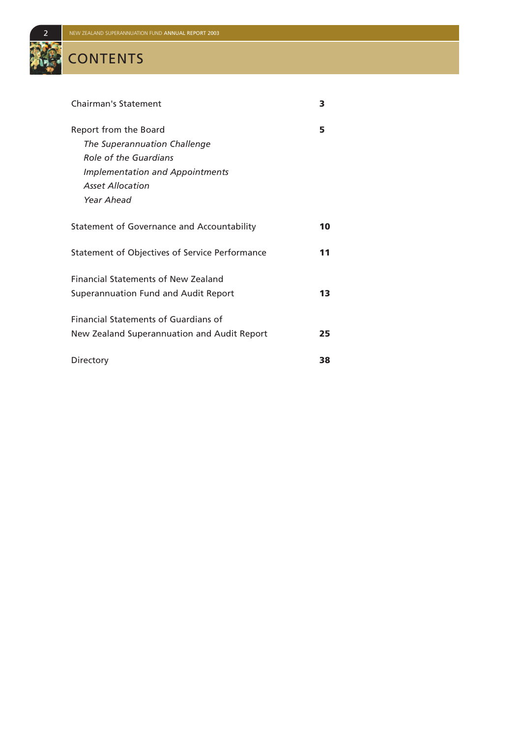# **CONTENTS**

| <b>Chairman's Statement</b>                                                                                                                                       | з  |
|-------------------------------------------------------------------------------------------------------------------------------------------------------------------|----|
| Report from the Board<br>The Superannuation Challenge<br>Role of the Guardians<br><b>Implementation and Appointments</b><br><b>Asset Allocation</b><br>Year Ahead | 5  |
| Statement of Governance and Accountability                                                                                                                        | 10 |
| Statement of Objectives of Service Performance                                                                                                                    | 11 |
| <b>Financial Statements of New Zealand</b><br>Superannuation Fund and Audit Report                                                                                | 13 |
| Financial Statements of Guardians of<br>New Zealand Superannuation and Audit Report                                                                               | 25 |
| Directory                                                                                                                                                         | 38 |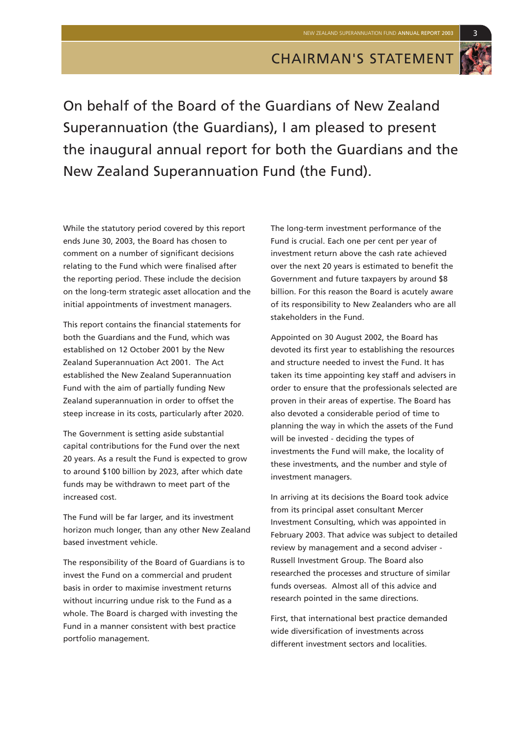

On behalf of the Board of the Guardians of New Zealand Superannuation (the Guardians), I am pleased to present the inaugural annual report for both the Guardians and the New Zealand Superannuation Fund (the Fund).

While the statutory period covered by this report ends June 30, 2003, the Board has chosen to comment on a number of significant decisions relating to the Fund which were finalised after the reporting period. These include the decision on the long-term strategic asset allocation and the initial appointments of investment managers.

This report contains the financial statements for both the Guardians and the Fund, which was established on 12 October 2001 by the New Zealand Superannuation Act 2001. The Act established the New Zealand Superannuation Fund with the aim of partially funding New Zealand superannuation in order to offset the steep increase in its costs, particularly after 2020.

The Government is setting aside substantial capital contributions for the Fund over the next 20 years. As a result the Fund is expected to grow to around \$100 billion by 2023, after which date funds may be withdrawn to meet part of the increased cost.

The Fund will be far larger, and its investment horizon much longer, than any other New Zealand based investment vehicle.

The responsibility of the Board of Guardians is to invest the Fund on a commercial and prudent basis in order to maximise investment returns without incurring undue risk to the Fund as a whole. The Board is charged with investing the Fund in a manner consistent with best practice portfolio management.

The long-term investment performance of the Fund is crucial. Each one per cent per year of investment return above the cash rate achieved over the next 20 years is estimated to benefit the Government and future taxpayers by around \$8 billion. For this reason the Board is acutely aware of its responsibility to New Zealanders who are all stakeholders in the Fund.

Appointed on 30 August 2002, the Board has devoted its first year to establishing the resources and structure needed to invest the Fund. It has taken its time appointing key staff and advisers in order to ensure that the professionals selected are proven in their areas of expertise. The Board has also devoted a considerable period of time to planning the way in which the assets of the Fund will be invested - deciding the types of investments the Fund will make, the locality of these investments, and the number and style of investment managers.

In arriving at its decisions the Board took advice from its principal asset consultant Mercer Investment Consulting, which was appointed in February 2003. That advice was subject to detailed review by management and a second adviser - Russell Investment Group. The Board also researched the processes and structure of similar funds overseas. Almost all of this advice and research pointed in the same directions.

First, that international best practice demanded wide diversification of investments across different investment sectors and localities.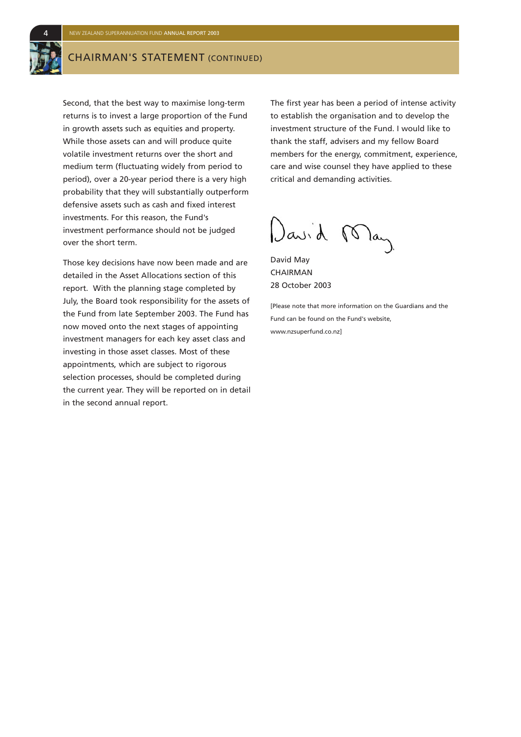### CHAIRMAN'S STATEMENT (CONTINUED)

Second, that the best way to maximise long-term returns is to invest a large proportion of the Fund in growth assets such as equities and property. While those assets can and will produce quite volatile investment returns over the short and medium term (fluctuating widely from period to period), over a 20-year period there is a very high probability that they will substantially outperform defensive assets such as cash and fixed interest investments. For this reason, the Fund's investment performance should not be judged over the short term.

Those key decisions have now been made and are detailed in the Asset Allocations section of this report. With the planning stage completed by July, the Board took responsibility for the assets of the Fund from late September 2003. The Fund has now moved onto the next stages of appointing investment managers for each key asset class and investing in those asset classes. Most of these appointments, which are subject to rigorous selection processes, should be completed during the current year. They will be reported on in detail in the second annual report.

The first year has been a period of intense activity to establish the organisation and to develop the investment structure of the Fund. I would like to thank the staff, advisers and my fellow Board members for the energy, commitment, experience, care and wise counsel they have applied to these critical and demanding activities.

David May

David May CHAIRMAN 28 October 2003

[Please note that more information on the Guardians and the Fund can be found on the Fund's website, www.nzsuperfund.co.nz]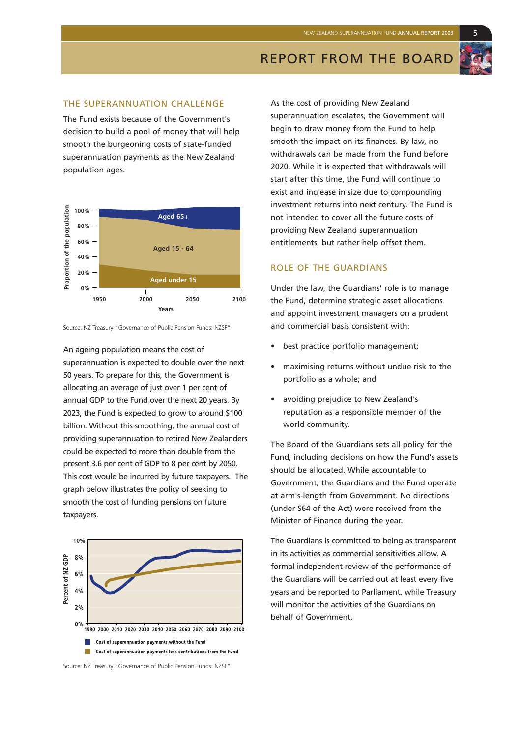REPORT FROM THE BOARD

#### THE SUPERANNUATION CHALLENGE

The Fund exists because of the Government's decision to build a pool of money that will help smooth the burgeoning costs of state-funded superannuation payments as the New Zealand population ages.



Source: NZ Treasury "Governance of Public Pension Funds: NZSF"

An ageing population means the cost of superannuation is expected to double over the next 50 years. To prepare for this, the Government is allocating an average of just over 1 per cent of annual GDP to the Fund over the next 20 years. By 2023, the Fund is expected to grow to around \$100 billion. Without this smoothing, the annual cost of providing superannuation to retired New Zealanders could be expected to more than double from the present 3.6 per cent of GDP to 8 per cent by 2050. This cost would be incurred by future taxpayers. The graph below illustrates the policy of seeking to smooth the cost of funding pensions on future taxpayers.



Source: NZ Treasury "Governance of Public Pension Funds: NZSF"

As the cost of providing New Zealand superannuation escalates, the Government will begin to draw money from the Fund to help smooth the impact on its finances. By law, no withdrawals can be made from the Fund before 2020. While it is expected that withdrawals will start after this time, the Fund will continue to exist and increase in size due to compounding investment returns into next century. The Fund is not intended to cover all the future costs of providing New Zealand superannuation entitlements, but rather help offset them.

#### ROLE OF THE GUARDIANS

Under the law, the Guardians' role is to manage the Fund, determine strategic asset allocations and appoint investment managers on a prudent and commercial basis consistent with:

- best practice portfolio management;
- maximising returns without undue risk to the portfolio as a whole; and
- avoiding prejudice to New Zealand's reputation as a responsible member of the world community.

The Board of the Guardians sets all policy for the Fund, including decisions on how the Fund's assets should be allocated. While accountable to Government, the Guardians and the Fund operate at arm's-length from Government. No directions (under S64 of the Act) were received from the Minister of Finance during the year.

The Guardians is committed to being as transparent in its activities as commercial sensitivities allow. A formal independent review of the performance of the Guardians will be carried out at least every five years and be reported to Parliament, while Treasury will monitor the activities of the Guardians on behalf of Government.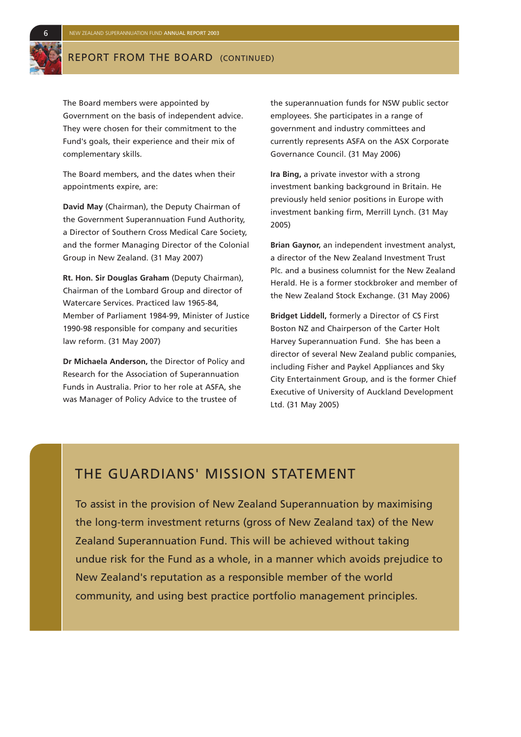### REPORT FROM THE BOARD (CONTINUED)

The Board members were appointed by Government on the basis of independent advice. They were chosen for their commitment to the Fund's goals, their experience and their mix of complementary skills.

The Board members, and the dates when their appointments expire, are:

**David May** (Chairman), the Deputy Chairman of the Government Superannuation Fund Authority, a Director of Southern Cross Medical Care Society, and the former Managing Director of the Colonial Group in New Zealand. (31 May 2007)

**Rt. Hon. Sir Douglas Graham** (Deputy Chairman), Chairman of the Lombard Group and director of Watercare Services. Practiced law 1965-84, Member of Parliament 1984-99, Minister of Justice 1990-98 responsible for company and securities law reform. (31 May 2007)

**Dr Michaela Anderson,** the Director of Policy and Research for the Association of Superannuation Funds in Australia. Prior to her role at ASFA, she was Manager of Policy Advice to the trustee of

the superannuation funds for NSW public sector employees. She participates in a range of government and industry committees and currently represents ASFA on the ASX Corporate Governance Council. (31 May 2006)

**Ira Bing,** a private investor with a strong investment banking background in Britain. He previously held senior positions in Europe with investment banking firm, Merrill Lynch. (31 May 2005)

**Brian Gaynor,** an independent investment analyst, a director of the New Zealand Investment Trust Plc. and a business columnist for the New Zealand Herald. He is a former stockbroker and member of the New Zealand Stock Exchange. (31 May 2006)

**Bridget Liddell,** formerly a Director of CS First Boston NZ and Chairperson of the Carter Holt Harvey Superannuation Fund. She has been a director of several New Zealand public companies, including Fisher and Paykel Appliances and Sky City Entertainment Group, and is the former Chief Executive of University of Auckland Development Ltd. (31 May 2005)

### THE GUARDIANS' MISSION STATEMENT

To assist in the provision of New Zealand Superannuation by maximising the long-term investment returns (gross of New Zealand tax) of the New Zealand Superannuation Fund. This will be achieved without taking undue risk for the Fund as a whole, in a manner which avoids prejudice to New Zealand's reputation as a responsible member of the world community, and using best practice portfolio management principles.

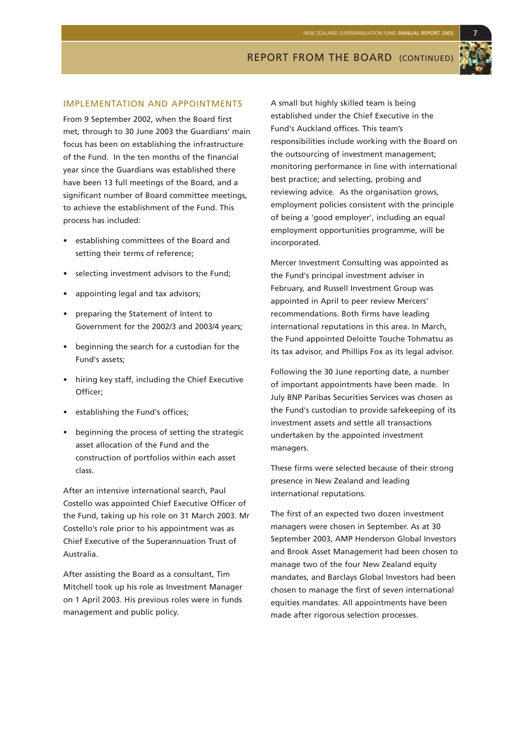#### IMPLEMENTATION AND APPOINTMENTS

From 9 September 2002, when the Board first met, through to 30 June 2003 the Guardians' main focus has been on establishing the infrastructure of the Fund. In the ten months of the financial year since the Guardians was established there have been 13 full meetings of the Board, and a significant number of Board committee meetings, to achieve the establishment of the Fund. This process has included:

- establishing committees of the Board and setting their terms of reference;
- selecting investment advisors to the Fund;
- appointing legal and tax advisors;
- preparing the Statement of Intent to Government for the 2002/3 and 2003/4 years;
- beginning the search for a custodian for the Fund's assets;
- hiring key staff, including the Chief Executive Officer;
- establishing the Fund's offices;
- beginning the process of setting the strategic asset allocation of the Fund and the construction of portfolios within each asset class.

After an intensive international search, Paul Costello was appointed Chief Executive Officer of the Fund, taking up his role on 31 March 2003. Mr Costello's role prior to his appointment was as Chief Executive of the Superannuation Trust of Australia.

After assisting the Board as a consultant, Tim Mitchell took up his role as Investment Manager on 1 April 2003. His previous roles were in funds management and public policy.

A small but highly skilled team is being established under the Chief Executive in the Fund's Auckland offices. This team's responsibilities include working with the Board on the outsourcing of investment management; monitoring performance in line with international best practice; and selecting, probing and reviewing advice. As the organisation grows, employment policies consistent with the principle of being a 'good employer', including an equal employment opportunities programme, will be incorporated.

Mercer Investment Consulting was appointed as the Fund's principal investment adviser in February, and Russell Investment Group was appointed in April to peer review Mercers' recommendations. Both firms have leading international reputations in this area. In March, the Fund appointed Deloitte Touche Tohmatsu as its tax advisor, and Phillips Fox as its legal advisor.

Following the 30 June reporting date, a number of important appointments have been made. In July BNP Paribas Securities Services was chosen as the Fund's custodian to provide safekeeping of its investment assets and settle all transactions undertaken by the appointed investment managers.

These firms were selected because of their strong presence in New Zealand and leading international reputations.

The first of an expected two dozen investment managers were chosen in September. As at 30 September 2003, AMP Henderson Global Investors and Brook Asset Management had been chosen to manage two of the four New Zealand equity mandates, and Barclays Global Investors had been chosen to manage the first of seven international equities mandates. All appointments have been made after rigorous selection processes.

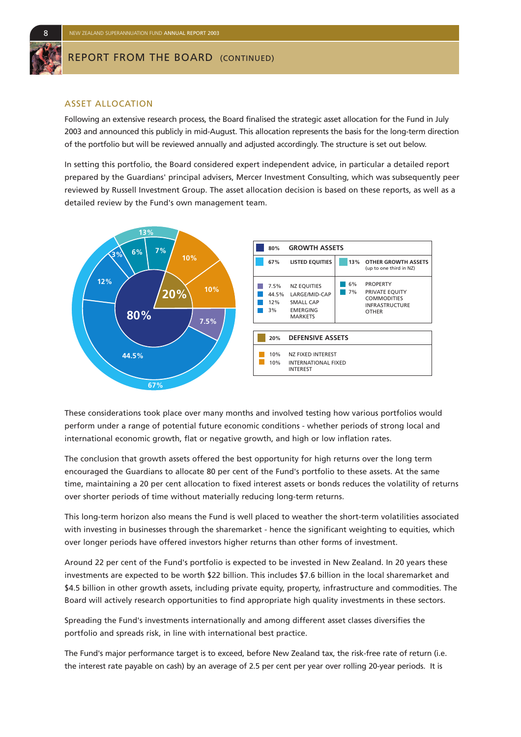

#### REPORT FROM THE BOARD (CONTINUED)

#### ASSET ALLOCATION

Following an extensive research process, the Board finalised the strategic asset allocation for the Fund in July 2003 and announced this publicly in mid-August. This allocation represents the basis for the long-term direction of the portfolio but will be reviewed annually and adjusted accordingly. The structure is set out below.

In setting this portfolio, the Board considered expert independent advice, in particular a detailed report prepared by the Guardians' principal advisers, Mercer Investment Consulting, which was subsequently peer reviewed by Russell Investment Group. The asset allocation decision is based on these reports, as well as a detailed review by the Fund's own management team.



These considerations took place over many months and involved testing how various portfolios would perform under a range of potential future economic conditions - whether periods of strong local and international economic growth, flat or negative growth, and high or low inflation rates.

The conclusion that growth assets offered the best opportunity for high returns over the long term encouraged the Guardians to allocate 80 per cent of the Fund's portfolio to these assets. At the same time, maintaining a 20 per cent allocation to fixed interest assets or bonds reduces the volatility of returns over shorter periods of time without materially reducing long-term returns.

This long-term horizon also means the Fund is well placed to weather the short-term volatilities associated with investing in businesses through the sharemarket - hence the significant weighting to equities, which over longer periods have offered investors higher returns than other forms of investment.

Around 22 per cent of the Fund's portfolio is expected to be invested in New Zealand. In 20 years these investments are expected to be worth \$22 billion. This includes \$7.6 billion in the local sharemarket and \$4.5 billion in other growth assets, including private equity, property, infrastructure and commodities. The Board will actively research opportunities to find appropriate high quality investments in these sectors.

Spreading the Fund's investments internationally and among different asset classes diversifies the portfolio and spreads risk, in line with international best practice.

The Fund's major performance target is to exceed, before New Zealand tax, the risk-free rate of return (i.e. the interest rate payable on cash) by an average of 2.5 per cent per year over rolling 20-year periods. It is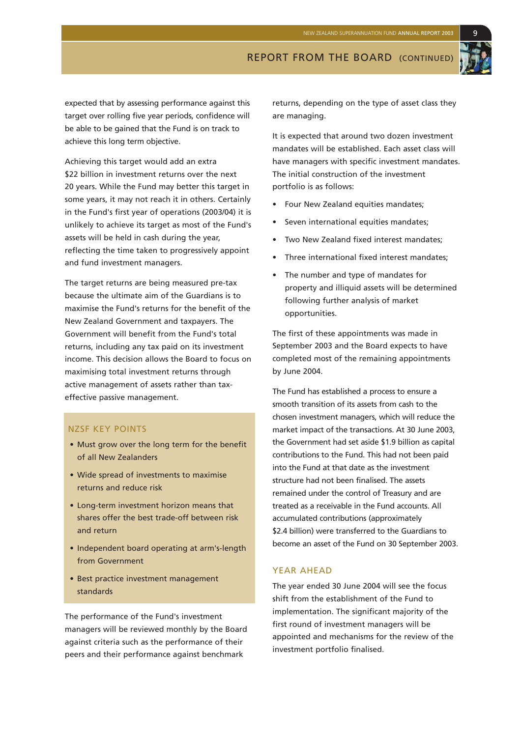expected that by assessing performance against this target over rolling five year periods, confidence will be able to be gained that the Fund is on track to achieve this long term objective.

Achieving this target would add an extra \$22 billion in investment returns over the next 20 years. While the Fund may better this target in some years, it may not reach it in others. Certainly in the Fund's first year of operations (2003/04) it is unlikely to achieve its target as most of the Fund's assets will be held in cash during the year, reflecting the time taken to progressively appoint and fund investment managers.

The target returns are being measured pre-tax because the ultimate aim of the Guardians is to maximise the Fund's returns for the benefit of the New Zealand Government and taxpayers. The Government will benefit from the Fund's total returns, including any tax paid on its investment income. This decision allows the Board to focus on maximising total investment returns through active management of assets rather than taxeffective passive management.

#### NZSF KEY POINTS

- Must grow over the long term for the benefit of all New Zealanders
- Wide spread of investments to maximise returns and reduce risk
- Long-term investment horizon means that shares offer the best trade-off between risk and return
- Independent board operating at arm's-length from Government
- Best practice investment management standards

The performance of the Fund's investment managers will be reviewed monthly by the Board against criteria such as the performance of their peers and their performance against benchmark

returns, depending on the type of asset class they are managing.

REPORT FROM THE BOARD (CONTINUED)

It is expected that around two dozen investment mandates will be established. Each asset class will have managers with specific investment mandates. The initial construction of the investment portfolio is as follows:

- Four New Zealand equities mandates;
- Seven international equities mandates;
- Two New Zealand fixed interest mandates;
- Three international fixed interest mandates;
- The number and type of mandates for property and illiquid assets will be determined following further analysis of market opportunities.

The first of these appointments was made in September 2003 and the Board expects to have completed most of the remaining appointments by June 2004.

The Fund has established a process to ensure a smooth transition of its assets from cash to the chosen investment managers, which will reduce the market impact of the transactions. At 30 June 2003, the Government had set aside \$1.9 billion as capital contributions to the Fund. This had not been paid into the Fund at that date as the investment structure had not been finalised. The assets remained under the control of Treasury and are treated as a receivable in the Fund accounts. All accumulated contributions (approximately \$2.4 billion) were transferred to the Guardians to become an asset of the Fund on 30 September 2003.

#### YEAR AHEAD

The year ended 30 June 2004 will see the focus shift from the establishment of the Fund to implementation. The significant majority of the first round of investment managers will be appointed and mechanisms for the review of the investment portfolio finalised.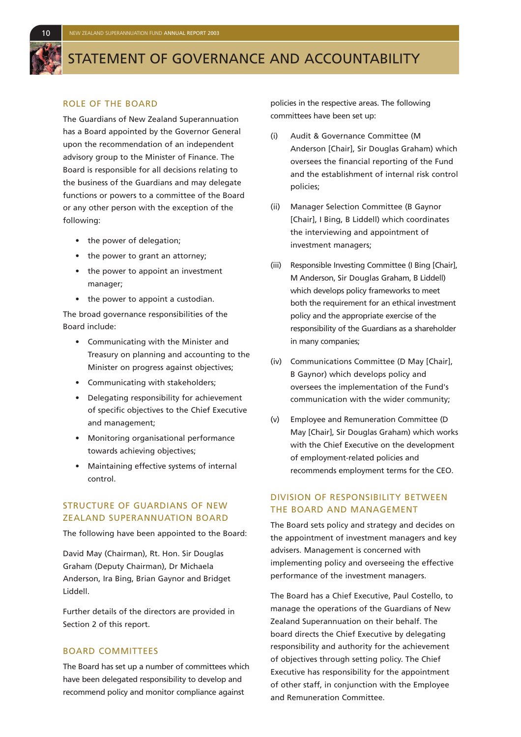

### STATEMENT OF GOVERNANCE AND ACCOUNTABILITY

#### ROLE OF THE BOARD

The Guardians of New Zealand Superannuation has a Board appointed by the Governor General upon the recommendation of an independent advisory group to the Minister of Finance. The Board is responsible for all decisions relating to the business of the Guardians and may delegate functions or powers to a committee of the Board or any other person with the exception of the following:

- the power of delegation;
- the power to grant an attorney;
- the power to appoint an investment manager;
- the power to appoint a custodian.

The broad governance responsibilities of the Board include:

- Communicating with the Minister and Treasury on planning and accounting to the Minister on progress against objectives;
- Communicating with stakeholders;
- Delegating responsibility for achievement of specific objectives to the Chief Executive and management;
- Monitoring organisational performance towards achieving objectives;
- Maintaining effective systems of internal control.

#### STRUCTURE OF GUARDIANS OF NEW ZEALAND SUPERANNUATION BOARD

The following have been appointed to the Board:

David May (Chairman), Rt. Hon. Sir Douglas Graham (Deputy Chairman), Dr Michaela Anderson, Ira Bing, Brian Gaynor and Bridget Liddell.

Further details of the directors are provided in Section 2 of this report.

#### BOARD COMMITTEES

The Board has set up a number of committees which have been delegated responsibility to develop and recommend policy and monitor compliance against

policies in the respective areas. The following committees have been set up:

- (i) Audit & Governance Committee (M Anderson [Chair], Sir Douglas Graham) which oversees the financial reporting of the Fund and the establishment of internal risk control policies;
- (ii) Manager Selection Committee (B Gaynor [Chair], I Bing, B Liddell) which coordinates the interviewing and appointment of investment managers;
- (iii) Responsible Investing Committee (I Bing [Chair], M Anderson, Sir Douglas Graham, B Liddell) which develops policy frameworks to meet both the requirement for an ethical investment policy and the appropriate exercise of the responsibility of the Guardians as a shareholder in many companies;
- (iv) Communications Committee (D May [Chair], B Gaynor) which develops policy and oversees the implementation of the Fund's communication with the wider community;
- (v) Employee and Remuneration Committee (D May [Chair], Sir Douglas Graham) which works with the Chief Executive on the development of employment-related policies and recommends employment terms for the CEO.

#### DIVISION OF RESPONSIBILITY BETWEEN THE BOARD AND MANAGEMENT

The Board sets policy and strategy and decides on the appointment of investment managers and key advisers. Management is concerned with implementing policy and overseeing the effective performance of the investment managers.

The Board has a Chief Executive, Paul Costello, to manage the operations of the Guardians of New Zealand Superannuation on their behalf. The board directs the Chief Executive by delegating responsibility and authority for the achievement of objectives through setting policy. The Chief Executive has responsibility for the appointment of other staff, in conjunction with the Employee and Remuneration Committee.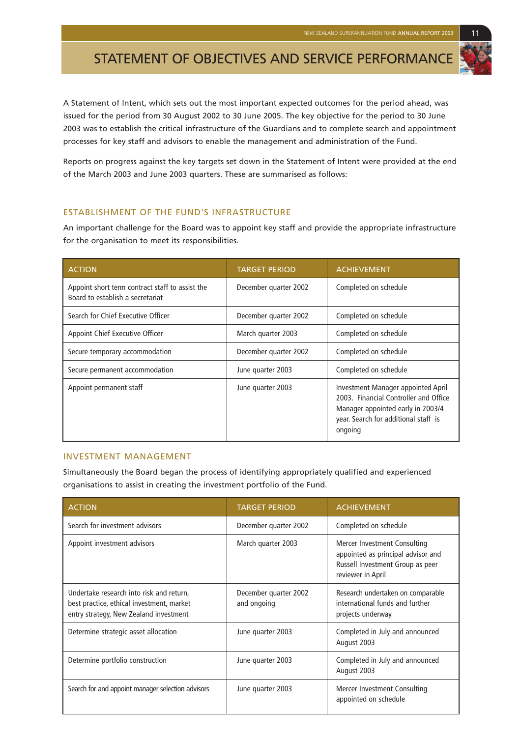## STATEMENT OF OBJECTIVES AND SERVICE PERFORMANCE

A Statement of Intent, which sets out the most important expected outcomes for the period ahead, was issued for the period from 30 August 2002 to 30 June 2005. The key objective for the period to 30 June 2003 was to establish the critical infrastructure of the Guardians and to complete search and appointment processes for key staff and advisors to enable the management and administration of the Fund.

Reports on progress against the key targets set down in the Statement of Intent were provided at the end of the March 2003 and June 2003 quarters. These are summarised as follows:

#### ESTABLISHMENT OF THE FUND'S INFRASTRUCTURE

An important challenge for the Board was to appoint key staff and provide the appropriate infrastructure for the organisation to meet its responsibilities.

| <b>ACTION</b>                                                                       | <b>TARGET PERIOD</b>  | <b>ACHIEVEMENT</b>                                                                                                                                                  |
|-------------------------------------------------------------------------------------|-----------------------|---------------------------------------------------------------------------------------------------------------------------------------------------------------------|
| Appoint short term contract staff to assist the<br>Board to establish a secretariat | December quarter 2002 | Completed on schedule                                                                                                                                               |
| Search for Chief Executive Officer                                                  | December quarter 2002 | Completed on schedule                                                                                                                                               |
| Appoint Chief Executive Officer                                                     | March quarter 2003    | Completed on schedule                                                                                                                                               |
| Secure temporary accommodation                                                      | December quarter 2002 | Completed on schedule                                                                                                                                               |
| Secure permanent accommodation                                                      | June quarter 2003     | Completed on schedule                                                                                                                                               |
| Appoint permanent staff                                                             | June quarter 2003     | Investment Manager appointed April<br>2003. Financial Controller and Office<br>Manager appointed early in 2003/4<br>year. Search for additional staff is<br>ongoing |

#### INVESTMENT MANAGEMENT

Simultaneously the Board began the process of identifying appropriately qualified and experienced organisations to assist in creating the investment portfolio of the Fund.

| <b>ACTION</b>                                                                                                                   | <b>TARGET PERIOD</b>                 | <b>ACHIEVEMENT</b>                                                                                                          |
|---------------------------------------------------------------------------------------------------------------------------------|--------------------------------------|-----------------------------------------------------------------------------------------------------------------------------|
| Search for investment advisors                                                                                                  | December quarter 2002                | Completed on schedule                                                                                                       |
| Appoint investment advisors                                                                                                     | March quarter 2003                   | Mercer Investment Consulting<br>appointed as principal advisor and<br>Russell Investment Group as peer<br>reviewer in April |
| Undertake research into risk and return,<br>best practice, ethical investment, market<br>entry strategy, New Zealand investment | December quarter 2002<br>and ongoing | Research undertaken on comparable<br>international funds and further<br>projects underway                                   |
| Determine strategic asset allocation                                                                                            | June quarter 2003                    | Completed in July and announced<br>August 2003                                                                              |
| Determine portfolio construction                                                                                                | June quarter 2003                    | Completed in July and announced<br>August 2003                                                                              |
| Search for and appoint manager selection advisors                                                                               | June quarter 2003                    | Mercer Investment Consulting<br>appointed on schedule                                                                       |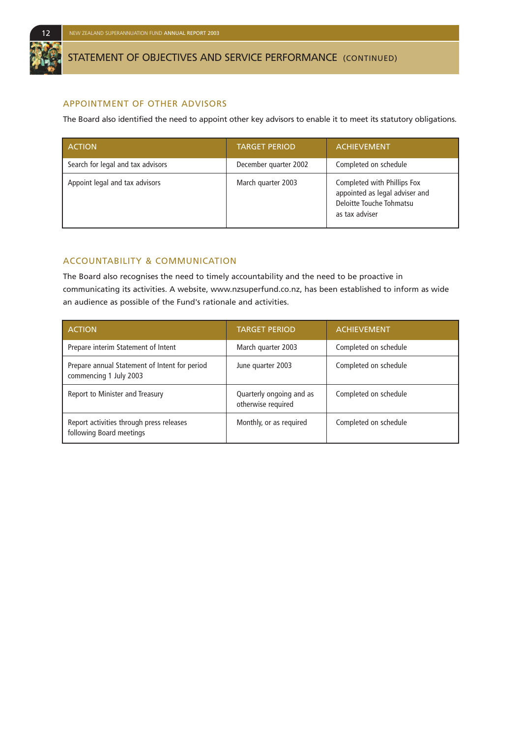

### STATEMENT OF OBJECTIVES AND SERVICE PERFORMANCE (CONTINUED)

#### APPOINTMENT OF OTHER ADVISORS

The Board also identified the need to appoint other key advisors to enable it to meet its statutory obligations.

| <b>ACTION</b>                     | <b>TARGET PERIOD</b>  | <b>ACHIEVEMENT</b>                                                                                          |
|-----------------------------------|-----------------------|-------------------------------------------------------------------------------------------------------------|
| Search for legal and tax advisors | December quarter 2002 | Completed on schedule                                                                                       |
| Appoint legal and tax advisors    | March quarter 2003    | Completed with Phillips Fox<br>appointed as legal adviser and<br>Deloitte Touche Tohmatsu<br>as tax adviser |

#### ACCOUNTABILITY & COMMUNICATION

The Board also recognises the need to timely accountability and the need to be proactive in communicating its activities. A website, www.nzsuperfund.co.nz, has been established to inform as wide an audience as possible of the Fund's rationale and activities.

| <b>ACTION</b>                                                           | <b>TARGET PERIOD</b>                           | <b>ACHIEVEMENT</b>    |
|-------------------------------------------------------------------------|------------------------------------------------|-----------------------|
| Prepare interim Statement of Intent                                     | March quarter 2003                             | Completed on schedule |
| Prepare annual Statement of Intent for period<br>commencing 1 July 2003 | June quarter 2003                              | Completed on schedule |
| Report to Minister and Treasury                                         | Quarterly ongoing and as<br>otherwise required | Completed on schedule |
| Report activities through press releases<br>following Board meetings    | Monthly, or as required                        | Completed on schedule |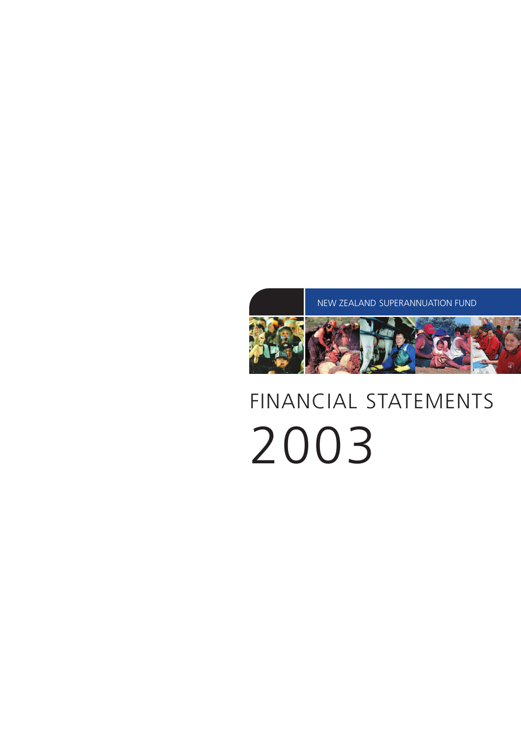# FINANCIAL STATEMENTS 2003

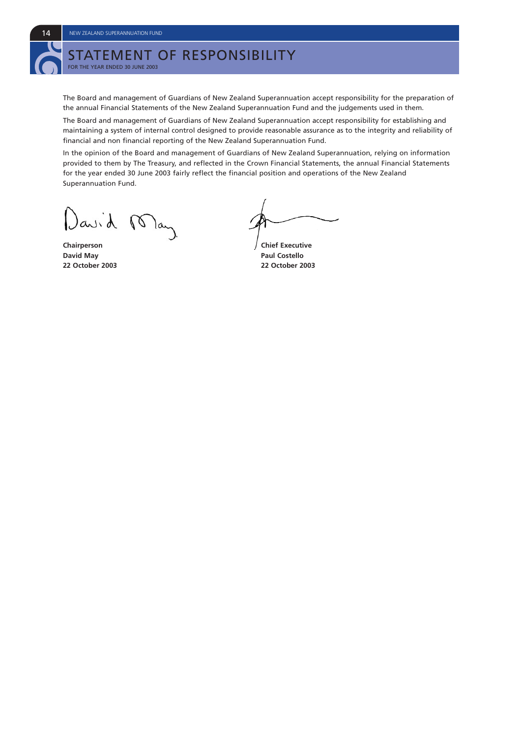# STATEMENT OF RESPONSIBILITY

FOR THE YEAR ENDED 30 JUNE 2003

The Board and management of Guardians of New Zealand Superannuation accept responsibility for the preparation of the annual Financial Statements of the New Zealand Superannuation Fund and the judgements used in them.

The Board and management of Guardians of New Zealand Superannuation accept responsibility for establishing and maintaining a system of internal control designed to provide reasonable assurance as to the integrity and reliability of financial and non financial reporting of the New Zealand Superannuation Fund.

In the opinion of the Board and management of Guardians of New Zealand Superannuation, relying on information provided to them by The Treasury, and reflected in the Crown Financial Statements, the annual Financial Statements for the year ended 30 June 2003 fairly reflect the financial position and operations of the New Zealand Superannuation Fund.

)avid lan

**Chairperson** Chairperson Chairperson Chairperson **David May Paul Costello** 

**22 October 2003 22 October 2003**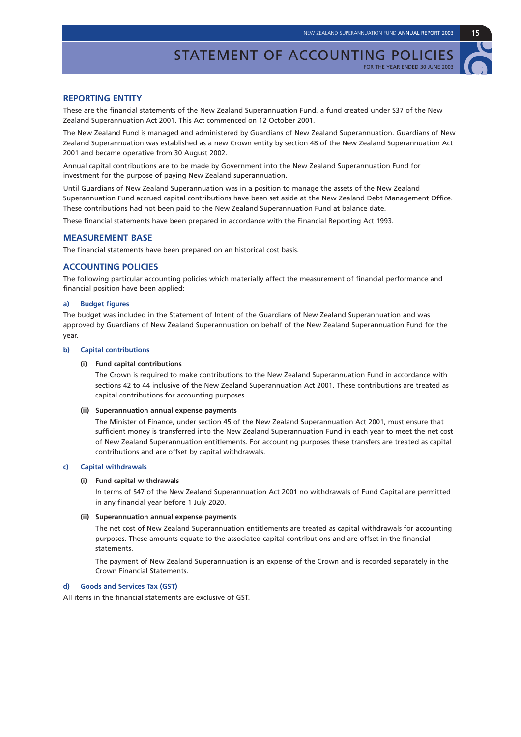#### **REPORTING ENTITY**

These are the financial statements of the New Zealand Superannuation Fund, a fund created under S37 of the New Zealand Superannuation Act 2001. This Act commenced on 12 October 2001.

The New Zealand Fund is managed and administered by Guardians of New Zealand Superannuation. Guardians of New Zealand Superannuation was established as a new Crown entity by section 48 of the New Zealand Superannuation Act 2001 and became operative from 30 August 2002.

Annual capital contributions are to be made by Government into the New Zealand Superannuation Fund for investment for the purpose of paying New Zealand superannuation.

Until Guardians of New Zealand Superannuation was in a position to manage the assets of the New Zealand Superannuation Fund accrued capital contributions have been set aside at the New Zealand Debt Management Office. These contributions had not been paid to the New Zealand Superannuation Fund at balance date.

These financial statements have been prepared in accordance with the Financial Reporting Act 1993.

#### **MEASUREMENT BASE**

The financial statements have been prepared on an historical cost basis.

#### **ACCOUNTING POLICIES**

The following particular accounting policies which materially affect the measurement of financial performance and financial position have been applied:

#### **a) Budget figures**

The budget was included in the Statement of Intent of the Guardians of New Zealand Superannuation and was approved by Guardians of New Zealand Superannuation on behalf of the New Zealand Superannuation Fund for the year.

#### **b) Capital contributions**

#### **(i) Fund capital contributions**

The Crown is required to make contributions to the New Zealand Superannuation Fund in accordance with sections 42 to 44 inclusive of the New Zealand Superannuation Act 2001. These contributions are treated as capital contributions for accounting purposes.

#### **(ii) Superannuation annual expense payments**

The Minister of Finance, under section 45 of the New Zealand Superannuation Act 2001, must ensure that sufficient money is transferred into the New Zealand Superannuation Fund in each year to meet the net cost of New Zealand Superannuation entitlements. For accounting purposes these transfers are treated as capital contributions and are offset by capital withdrawals.

#### **c) Capital withdrawals**

#### **(i) Fund capital withdrawals**

In terms of S47 of the New Zealand Superannuation Act 2001 no withdrawals of Fund Capital are permitted in any financial year before 1 July 2020.

#### **(ii) Superannuation annual expense payments**

The net cost of New Zealand Superannuation entitlements are treated as capital withdrawals for accounting purposes. These amounts equate to the associated capital contributions and are offset in the financial statements.

The payment of New Zealand Superannuation is an expense of the Crown and is recorded separately in the Crown Financial Statements.

#### **d) Goods and Services Tax (GST)**

All items in the financial statements are exclusive of GST.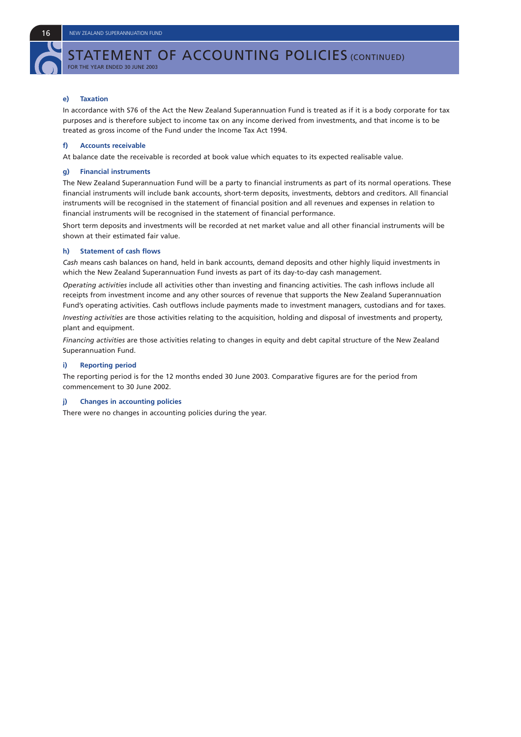# STATEMENT OF ACCOUNTING POLICIES (CONTINUED)

FOR THE YEAR ENDED 30 JUNE 2003

#### **e) Taxation**

In accordance with S76 of the Act the New Zealand Superannuation Fund is treated as if it is a body corporate for tax purposes and is therefore subject to income tax on any income derived from investments, and that income is to be treated as gross income of the Fund under the Income Tax Act 1994.

#### **f) Accounts receivable**

At balance date the receivable is recorded at book value which equates to its expected realisable value.

#### **g) Financial instruments**

The New Zealand Superannuation Fund will be a party to financial instruments as part of its normal operations. These financial instruments will include bank accounts, short-term deposits, investments, debtors and creditors. All financial instruments will be recognised in the statement of financial position and all revenues and expenses in relation to financial instruments will be recognised in the statement of financial performance.

Short term deposits and investments will be recorded at net market value and all other financial instruments will be shown at their estimated fair value.

#### **h) Statement of cash flows**

*Cash* means cash balances on hand, held in bank accounts, demand deposits and other highly liquid investments in which the New Zealand Superannuation Fund invests as part of its day-to-day cash management.

*Operating activities* include all activities other than investing and financing activities. The cash inflows include all receipts from investment income and any other sources of revenue that supports the New Zealand Superannuation Fund's operating activities. Cash outflows include payments made to investment managers, custodians and for taxes.

*Investing activities* are those activities relating to the acquisition, holding and disposal of investments and property, plant and equipment.

*Financing activities* are those activities relating to changes in equity and debt capital structure of the New Zealand Superannuation Fund.

#### **i) Reporting period**

The reporting period is for the 12 months ended 30 June 2003. Comparative figures are for the period from commencement to 30 June 2002.

#### **j) Changes in accounting policies**

There were no changes in accounting policies during the year.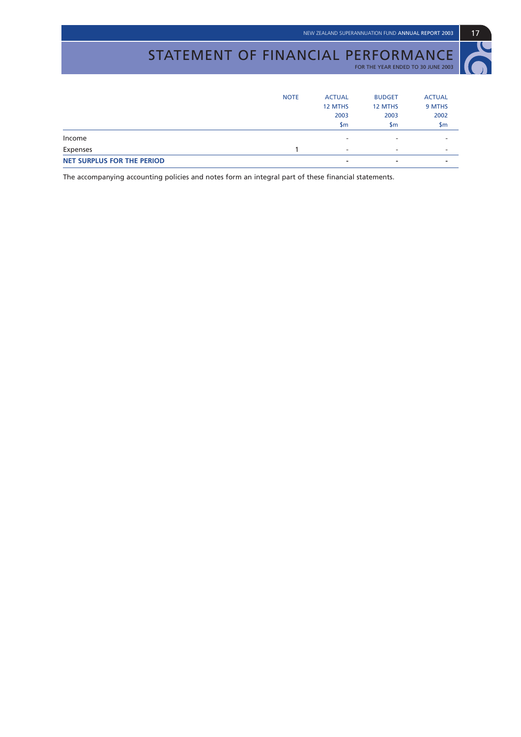# STATEMENT OF FINANCIAL PERFORMANCE

FOR THE YEAR ENDED TO 30 JUNE 2003

| <b>NET SURPLUS FOR THE PERIOD</b> |             | ۰                        | ۰                        | $\overline{\phantom{a}}$ |
|-----------------------------------|-------------|--------------------------|--------------------------|--------------------------|
| Expenses                          |             | $\overline{\phantom{a}}$ | $\overline{\phantom{a}}$ | $\overline{\phantom{a}}$ |
| Income                            |             | ۰                        | ۰                        | $\overline{\phantom{0}}$ |
|                                   |             | \$m                      | \$m                      | \$m                      |
|                                   |             | 2003                     | 2003                     | 2002                     |
|                                   |             | 12 MTHS                  | 12 MTHS                  | 9 MTHS                   |
|                                   | <b>NOTE</b> | <b>ACTUAL</b>            | <b>BUDGET</b>            | <b>ACTUAL</b>            |
|                                   |             |                          |                          |                          |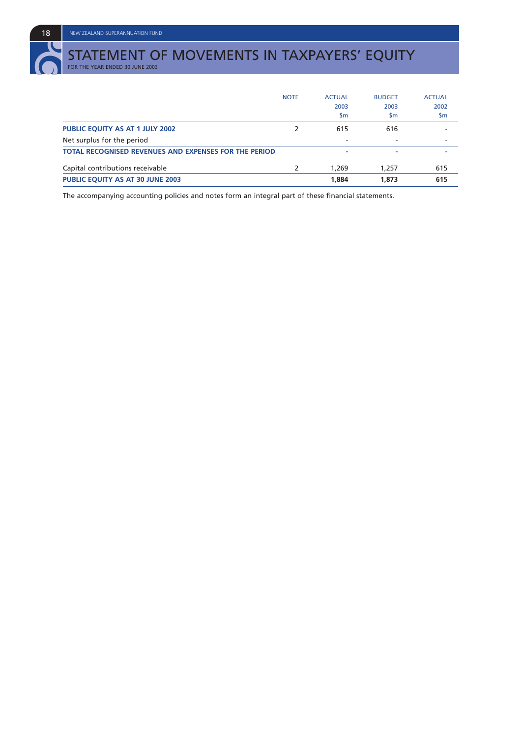# STATEMENT OF MOVEMENTS IN TAXPAYERS' EQUITY<br>for the year ended 30 june 2003

|                                                              | <b>NOTE</b> | <b>ACTUAL</b><br>2003<br>\$m | <b>BUDGET</b><br>2003<br>$\mathsf{sm}$ | <b>ACTUAL</b><br>2002<br>\$m |
|--------------------------------------------------------------|-------------|------------------------------|----------------------------------------|------------------------------|
| <b>PUBLIC EQUITY AS AT 1 JULY 2002</b>                       |             | 615                          | 616                                    |                              |
| Net surplus for the period                                   |             |                              | ۰                                      |                              |
| <b>TOTAL RECOGNISED REVENUES AND EXPENSES FOR THE PERIOD</b> |             |                              | -                                      |                              |
| Capital contributions receivable                             |             | 1,269                        | 1,257                                  | 615                          |
| PUBLIC EQUITY AS AT 30 JUNE 2003                             |             | 1,884                        | 1,873                                  | 615                          |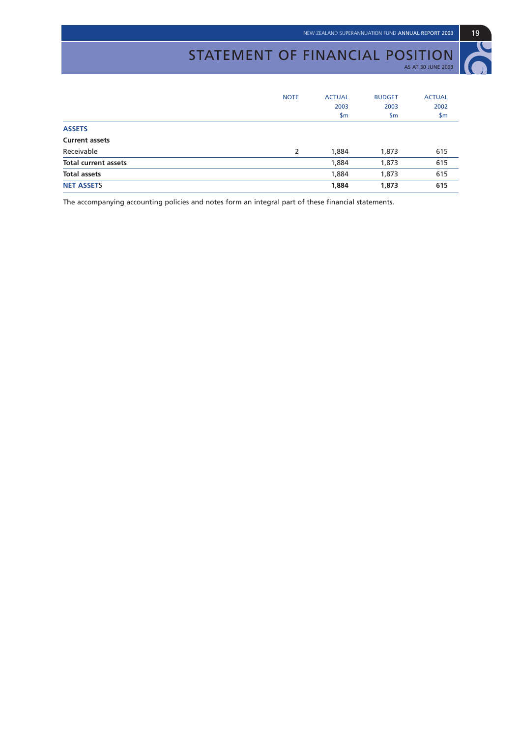#### STATEMENT OF FINANCIAL POSITION AS AT 30 JUNE 2003



|                             | <b>NOTE</b> | <b>ACTUAL</b><br>2003<br>\$m\$ | <b>BUDGET</b><br>2003<br>\$m | <b>ACTUAL</b><br>2002<br>\$m\$ |
|-----------------------------|-------------|--------------------------------|------------------------------|--------------------------------|
| <b>ASSETS</b>               |             |                                |                              |                                |
| <b>Current assets</b>       |             |                                |                              |                                |
| Receivable                  | 2           | 1,884                          | 1,873                        | 615                            |
| <b>Total current assets</b> |             | 1,884                          | 1,873                        | 615                            |
| <b>Total assets</b>         |             | 1,884                          | 1,873                        | 615                            |
| <b>NET ASSETS</b>           |             | 1,884                          | 1,873                        | 615                            |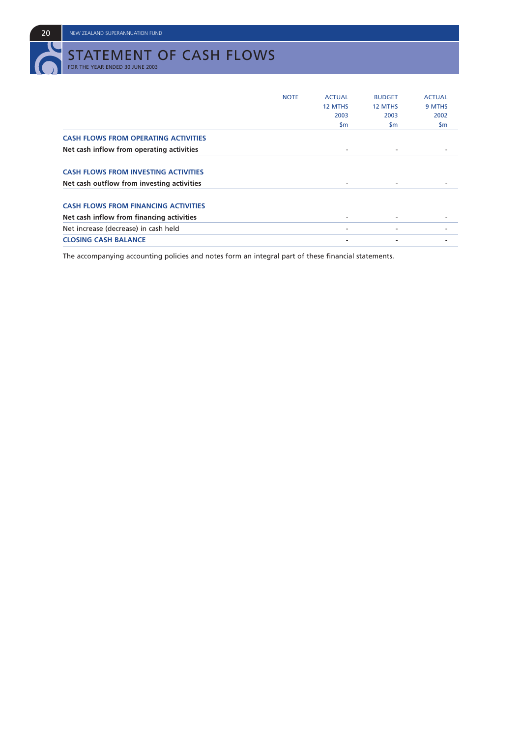**20** NEW ZEALAND SUPERANNUATION FUND

# STATEMENT OF CASH FLOWS FOR THE YEAR ENDED 30 JUNE 2003

|                                             | <b>NOTE</b> | <b>ACTUAL</b>            | <b>BUDGET</b>            | <b>ACTUAL</b> |
|---------------------------------------------|-------------|--------------------------|--------------------------|---------------|
|                                             |             | 12 MTHS                  | 12 MTHS                  | 9 MTHS        |
|                                             |             | 2003                     | 2003                     | 2002          |
|                                             |             | \$m                      | $\mathsf{sm}$            | $\mathsf{Sm}$ |
| <b>CASH FLOWS FROM OPERATING ACTIVITIES</b> |             |                          |                          |               |
| Net cash inflow from operating activities   |             | $\overline{\phantom{a}}$ | $\overline{\phantom{a}}$ |               |
| <b>CASH FLOWS FROM INVESTING ACTIVITIES</b> |             |                          |                          |               |
| Net cash outflow from investing activities  |             |                          | $\overline{\phantom{a}}$ |               |
| <b>CASH FLOWS FROM FINANCING ACTIVITIES</b> |             |                          |                          |               |
| Net cash inflow from financing activities   |             |                          |                          |               |
| Net increase (decrease) in cash held        |             |                          | ٠                        |               |
| <b>CLOSING CASH BALANCE</b>                 |             |                          |                          |               |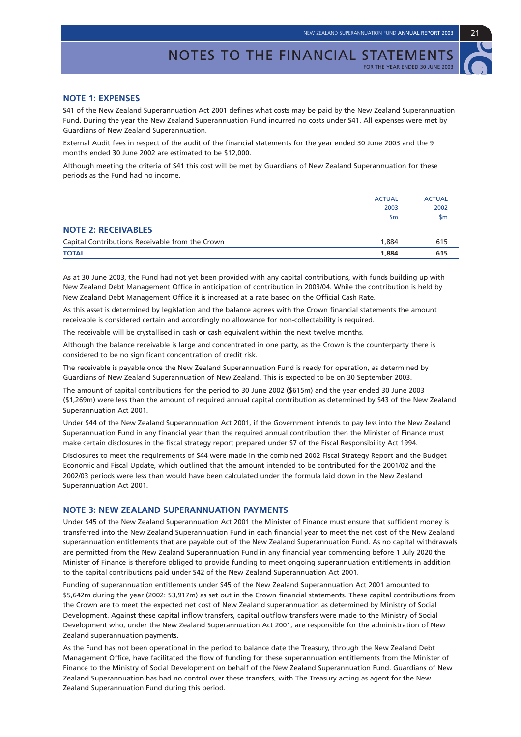

S41 of the New Zealand Superannuation Act 2001 defines what costs may be paid by the New Zealand Superannuation Fund. During the year the New Zealand Superannuation Fund incurred no costs under S41. All expenses were met by Guardians of New Zealand Superannuation.

External Audit fees in respect of the audit of the financial statements for the year ended 30 June 2003 and the 9 months ended 30 June 2002 are estimated to be \$12,000.

Although meeting the criteria of S41 this cost will be met by Guardians of New Zealand Superannuation for these periods as the Fund had no income.

|                                                 | <b>ACTUAL</b> | <b>ACTUAL</b>  |
|-------------------------------------------------|---------------|----------------|
|                                                 | 2003          | 2002           |
|                                                 | \$m           | $\mathsf{S}$ m |
| <b>NOTE 2: RECEIVABLES</b>                      |               |                |
| Capital Contributions Receivable from the Crown | 1,884         | 615            |
| <b>TOTAL</b>                                    | 1,884         | 615            |

As at 30 June 2003, the Fund had not yet been provided with any capital contributions, with funds building up with New Zealand Debt Management Office in anticipation of contribution in 2003/04. While the contribution is held by New Zealand Debt Management Office it is increased at a rate based on the Official Cash Rate.

As this asset is determined by legislation and the balance agrees with the Crown financial statements the amount receivable is considered certain and accordingly no allowance for non-collectability is required.

The receivable will be crystallised in cash or cash equivalent within the next twelve months.

Although the balance receivable is large and concentrated in one party, as the Crown is the counterparty there is considered to be no significant concentration of credit risk.

The receivable is payable once the New Zealand Superannuation Fund is ready for operation, as determined by Guardians of New Zealand Superannuation of New Zealand. This is expected to be on 30 September 2003.

The amount of capital contributions for the period to 30 June 2002 (\$615m) and the year ended 30 June 2003 (\$1,269m) were less than the amount of required annual capital contribution as determined by S43 of the New Zealand Superannuation Act 2001.

Under S44 of the New Zealand Superannuation Act 2001, if the Government intends to pay less into the New Zealand Superannuation Fund in any financial year than the required annual contribution then the Minister of Finance must make certain disclosures in the fiscal strategy report prepared under S7 of the Fiscal Responsibility Act 1994.

Disclosures to meet the requirements of S44 were made in the combined 2002 Fiscal Strategy Report and the Budget Economic and Fiscal Update, which outlined that the amount intended to be contributed for the 2001/02 and the 2002/03 periods were less than would have been calculated under the formula laid down in the New Zealand Superannuation Act 2001.

#### **NOTE 3: NEW ZEALAND SUPERANNUATION PAYMENTS**

Under S45 of the New Zealand Superannuation Act 2001 the Minister of Finance must ensure that sufficient money is transferred into the New Zealand Superannuation Fund in each financial year to meet the net cost of the New Zealand superannuation entitlements that are payable out of the New Zealand Superannuation Fund. As no capital withdrawals are permitted from the New Zealand Superannuation Fund in any financial year commencing before 1 July 2020 the Minister of Finance is therefore obliged to provide funding to meet ongoing superannuation entitlements in addition to the capital contributions paid under S42 of the New Zealand Superannuation Act 2001.

Funding of superannuation entitlements under S45 of the New Zealand Superannuation Act 2001 amounted to \$5,642m during the year (2002: \$3,917m) as set out in the Crown financial statements. These capital contributions from the Crown are to meet the expected net cost of New Zealand superannuation as determined by Ministry of Social Development. Against these capital inflow transfers, capital outflow transfers were made to the Ministry of Social Development who, under the New Zealand Superannuation Act 2001, are responsible for the administration of New Zealand superannuation payments.

As the Fund has not been operational in the period to balance date the Treasury, through the New Zealand Debt Management Office, have facilitated the flow of funding for these superannuation entitlements from the Minister of Finance to the Ministry of Social Development on behalf of the New Zealand Superannuation Fund. Guardians of New Zealand Superannuation has had no control over these transfers, with The Treasury acting as agent for the New Zealand Superannuation Fund during this period.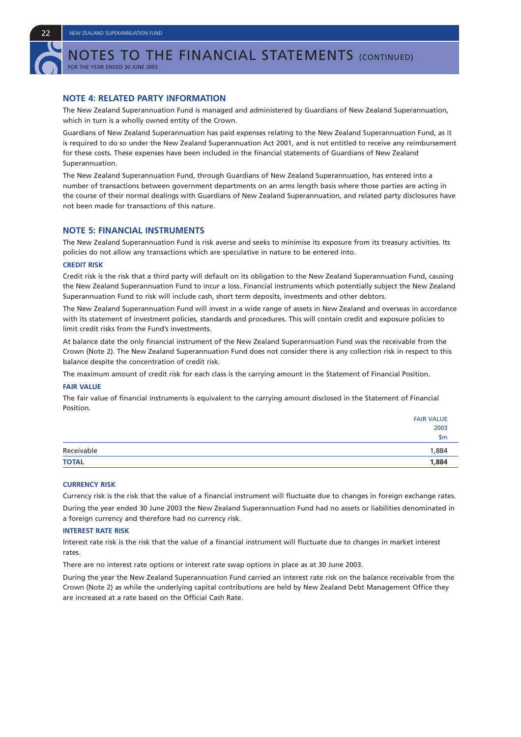

NOTES TO THE FINANCIAL STATEMENTS (CONTINUED)

FOR THE YEAR ENDED 30 JUNE 2003

#### **NOTE 4: RELATED PARTY INFORMATION**

The New Zealand Superannuation Fund is managed and administered by Guardians of New Zealand Superannuation, which in turn is a wholly owned entity of the Crown.

Guardians of New Zealand Superannuation has paid expenses relating to the New Zealand Superannuation Fund, as it is required to do so under the New Zealand Superannuation Act 2001, and is not entitled to receive any reimbursement for these costs. These expenses have been included in the financial statements of Guardians of New Zealand Superannuation.

The New Zealand Superannuation Fund, through Guardians of New Zealand Superannuation, has entered into a number of transactions between government departments on an arms length basis where those parties are acting in the course of their normal dealings with Guardians of New Zealand Superannuation, and related party disclosures have not been made for transactions of this nature.

#### **NOTE 5: FINANCIAL INSTRUMENTS**

The New Zealand Superannuation Fund is risk averse and seeks to minimise its exposure from its treasury activities. Its policies do not allow any transactions which are speculative in nature to be entered into.

#### **CREDIT RISK**

Credit risk is the risk that a third party will default on its obligation to the New Zealand Superannuation Fund, causing the New Zealand Superannuation Fund to incur a loss. Financial instruments which potentially subject the New Zealand Superannuation Fund to risk will include cash, short term deposits, investments and other debtors.

The New Zealand Superannuation Fund will invest in a wide range of assets in New Zealand and overseas in accordance with its statement of investment policies, standards and procedures. This will contain credit and exposure policies to limit credit risks from the Fund's investments.

At balance date the only financial instrument of the New Zealand Superannuation Fund was the receivable from the Crown (Note 2). The New Zealand Superannuation Fund does not consider there is any collection risk in respect to this balance despite the concentration of credit risk.

The maximum amount of credit risk for each class is the carrying amount in the Statement of Financial Position.

#### **FAIR VALUE**

The fair value of financial instruments is equivalent to the carrying amount disclosed in the Statement of Financial Position.

|              | <b>FAIR VALUE</b> |
|--------------|-------------------|
|              | 2003              |
|              | \$m               |
| Receivable   | 1,884             |
| <b>TOTAL</b> | 1,884             |

#### **CURRENCY RISK**

Currency risk is the risk that the value of a financial instrument will fluctuate due to changes in foreign exchange rates. During the year ended 30 June 2003 the New Zealand Superannuation Fund had no assets or liabilities denominated in a foreign currency and therefore had no currency risk.

#### **INTEREST RATE RISK**

Interest rate risk is the risk that the value of a financial instrument will fluctuate due to changes in market interest rates.

There are no interest rate options or interest rate swap options in place as at 30 June 2003.

During the year the New Zealand Superannuation Fund carried an interest rate risk on the balance receivable from the Crown (Note 2) as while the underlying capital contributions are held by New Zealand Debt Management Office they are increased at a rate based on the Official Cash Rate.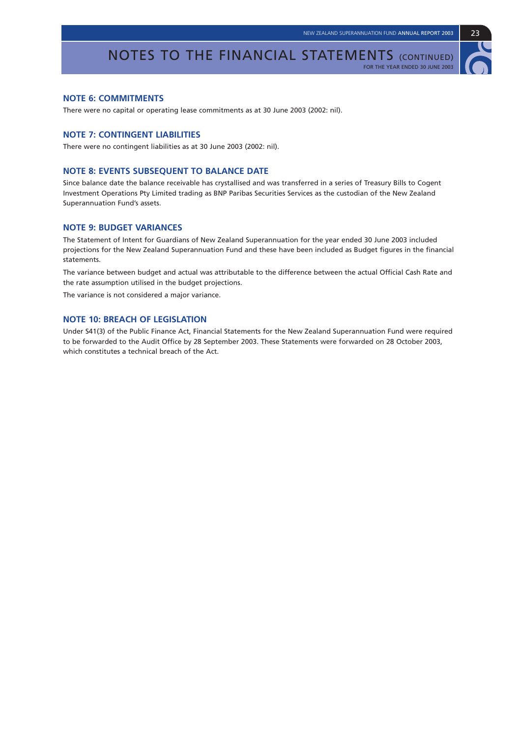#### NOTES TO THE FINANCIAL STATEMENTS (CONTINUED) FOR THE YEAR ENDED 30 JUNE 2003

#### **NOTE 6: COMMITMENTS**

There were no capital or operating lease commitments as at 30 June 2003 (2002: nil).

#### **NOTE 7: CONTINGENT LIABILITIES**

There were no contingent liabilities as at 30 June 2003 (2002: nil).

#### **NOTE 8: EVENTS SUBSEQUENT TO BALANCE DATE**

Since balance date the balance receivable has crystallised and was transferred in a series of Treasury Bills to Cogent Investment Operations Pty Limited trading as BNP Paribas Securities Services as the custodian of the New Zealand Superannuation Fund's assets.

#### **NOTE 9: BUDGET VARIANCES**

The Statement of Intent for Guardians of New Zealand Superannuation for the year ended 30 June 2003 included projections for the New Zealand Superannuation Fund and these have been included as Budget figures in the financial statements.

The variance between budget and actual was attributable to the difference between the actual Official Cash Rate and the rate assumption utilised in the budget projections.

The variance is not considered a major variance.

#### **NOTE 10: BREACH OF LEGISLATION**

Under S41(3) of the Public Finance Act, Financial Statements for the New Zealand Superannuation Fund were required to be forwarded to the Audit Office by 28 September 2003. These Statements were forwarded on 28 October 2003, which constitutes a technical breach of the Act.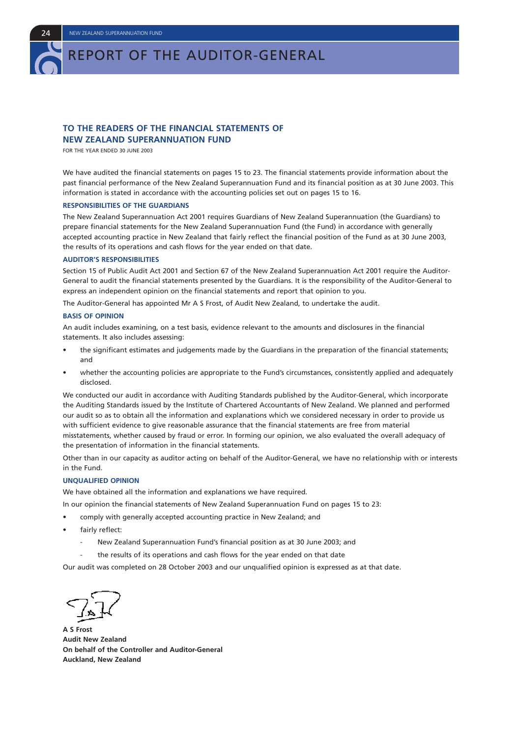#### **TO THE READERS OF THE FINANCIAL STATEMENTS OF NEW ZEALAND SUPERANNUATION FUND**

FOR THE YEAR ENDED 30 JUNE 2003

We have audited the financial statements on pages 15 to 23. The financial statements provide information about the past financial performance of the New Zealand Superannuation Fund and its financial position as at 30 June 2003. This information is stated in accordance with the accounting policies set out on pages 15 to 16.

#### **RESPONSIBILITIES OF THE GUARDIANS**

The New Zealand Superannuation Act 2001 requires Guardians of New Zealand Superannuation (the Guardians) to prepare financial statements for the New Zealand Superannuation Fund (the Fund) in accordance with generally accepted accounting practice in New Zealand that fairly reflect the financial position of the Fund as at 30 June 2003, the results of its operations and cash flows for the year ended on that date.

#### **AUDITOR'S RESPONSIBILITIES**

Section 15 of Public Audit Act 2001 and Section 67 of the New Zealand Superannuation Act 2001 require the Auditor-General to audit the financial statements presented by the Guardians. It is the responsibility of the Auditor-General to express an independent opinion on the financial statements and report that opinion to you.

The Auditor-General has appointed Mr A S Frost, of Audit New Zealand, to undertake the audit.

#### **BASIS OF OPINION**

An audit includes examining, on a test basis, evidence relevant to the amounts and disclosures in the financial statements. It also includes assessing:

- the significant estimates and judgements made by the Guardians in the preparation of the financial statements; and
- whether the accounting policies are appropriate to the Fund's circumstances, consistently applied and adequately disclosed.

We conducted our audit in accordance with Auditing Standards published by the Auditor-General, which incorporate the Auditing Standards issued by the Institute of Chartered Accountants of New Zealand. We planned and performed our audit so as to obtain all the information and explanations which we considered necessary in order to provide us with sufficient evidence to give reasonable assurance that the financial statements are free from material misstatements, whether caused by fraud or error. In forming our opinion, we also evaluated the overall adequacy of the presentation of information in the financial statements.

Other than in our capacity as auditor acting on behalf of the Auditor-General, we have no relationship with or interests in the Fund.

#### **UNQUALIFIED OPINION**

We have obtained all the information and explanations we have required.

In our opinion the financial statements of New Zealand Superannuation Fund on pages 15 to 23:

- comply with generally accepted accounting practice in New Zealand; and
- fairly reflect:
	- New Zealand Superannuation Fund's financial position as at 30 June 2003; and
	- the results of its operations and cash flows for the year ended on that date

Our audit was completed on 28 October 2003 and our unqualified opinion is expressed as at that date.

**A S Frost Audit New Zealand On behalf of the Controller and Auditor-General Auckland, New Zealand**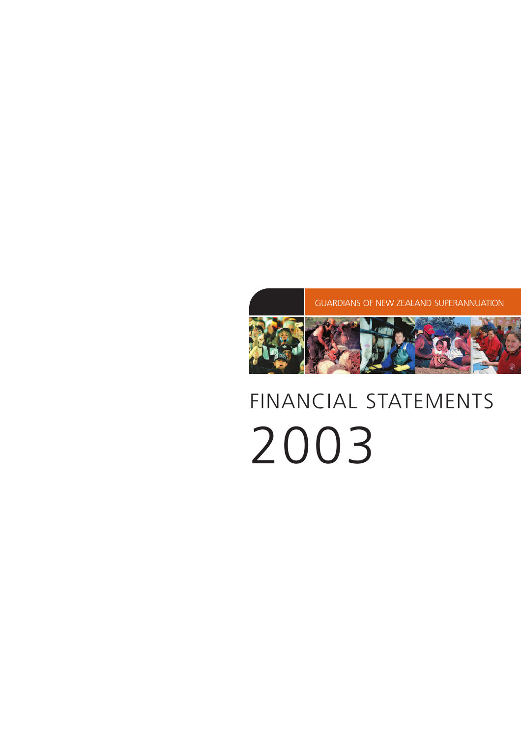# FINANCIAL STATEMENTS 2003

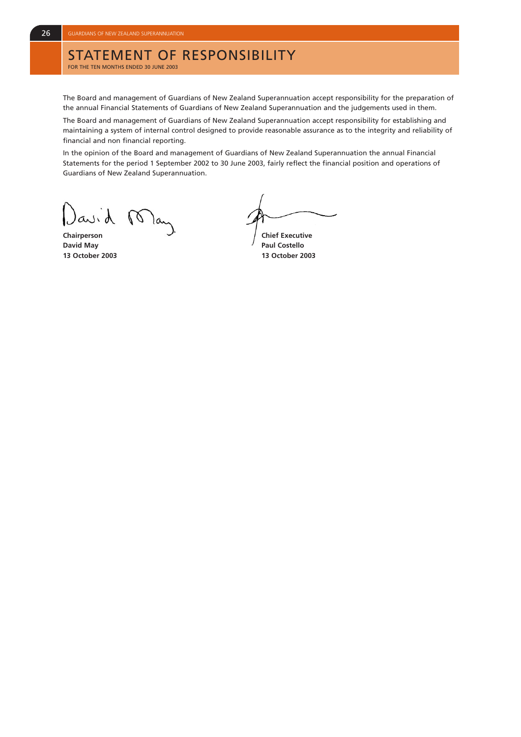## STATEMENT OF RESPONSIBILITY

FOR THE TEN MONTHS ENDED 30 JUNE 2003

The Board and management of Guardians of New Zealand Superannuation accept responsibility for the preparation of the annual Financial Statements of Guardians of New Zealand Superannuation and the judgements used in them.

The Board and management of Guardians of New Zealand Superannuation accept responsibility for establishing and maintaining a system of internal control designed to provide reasonable assurance as to the integrity and reliability of financial and non financial reporting.

In the opinion of the Board and management of Guardians of New Zealand Superannuation the annual Financial Statements for the period 1 September 2002 to 30 June 2003, fairly reflect the financial position and operations of Guardians of New Zealand Superannuation.

avid  $\sqrt{2}$ 

**David May Paul Costello** 

**Chairperson** Chairperson Chairperson Chairperson

**13 October 2003 13 October 2003**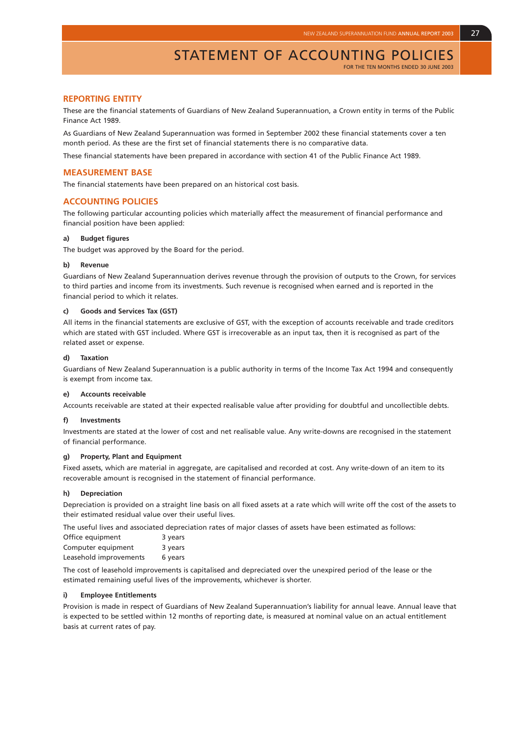FOR THE TEN MONTHS ENDED 30 JUNE 2003

#### **REPORTING ENTITY**

These are the financial statements of Guardians of New Zealand Superannuation, a Crown entity in terms of the Public Finance Act 1989.

As Guardians of New Zealand Superannuation was formed in September 2002 these financial statements cover a ten month period. As these are the first set of financial statements there is no comparative data.

These financial statements have been prepared in accordance with section 41 of the Public Finance Act 1989.

#### **MEASUREMENT BASE**

The financial statements have been prepared on an historical cost basis.

#### **ACCOUNTING POLICIES**

The following particular accounting policies which materially affect the measurement of financial performance and financial position have been applied:

#### **a) Budget figures**

The budget was approved by the Board for the period.

#### **b) Revenue**

Guardians of New Zealand Superannuation derives revenue through the provision of outputs to the Crown, for services to third parties and income from its investments. Such revenue is recognised when earned and is reported in the financial period to which it relates.

#### **c) Goods and Services Tax (GST)**

All items in the financial statements are exclusive of GST, with the exception of accounts receivable and trade creditors which are stated with GST included. Where GST is irrecoverable as an input tax, then it is recognised as part of the related asset or expense.

#### **d) Taxation**

Guardians of New Zealand Superannuation is a public authority in terms of the Income Tax Act 1994 and consequently is exempt from income tax.

#### **e) Accounts receivable**

Accounts receivable are stated at their expected realisable value after providing for doubtful and uncollectible debts.

#### **f) Investments**

Investments are stated at the lower of cost and net realisable value. Any write-downs are recognised in the statement of financial performance.

#### **g) Property, Plant and Equipment**

Fixed assets, which are material in aggregate, are capitalised and recorded at cost. Any write-down of an item to its recoverable amount is recognised in the statement of financial performance.

#### **h) Depreciation**

Depreciation is provided on a straight line basis on all fixed assets at a rate which will write off the cost of the assets to their estimated residual value over their useful lives.

The useful lives and associated depreciation rates of major classes of assets have been estimated as follows:

| Office equipment       | 3 years |
|------------------------|---------|
| Computer equipment     | 3 years |
| Leasehold improvements | 6 years |

The cost of leasehold improvements is capitalised and depreciated over the unexpired period of the lease or the estimated remaining useful lives of the improvements, whichever is shorter.

#### **i) Employee Entitlements**

Provision is made in respect of Guardians of New Zealand Superannuation's liability for annual leave. Annual leave that is expected to be settled within 12 months of reporting date, is measured at nominal value on an actual entitlement basis at current rates of pay.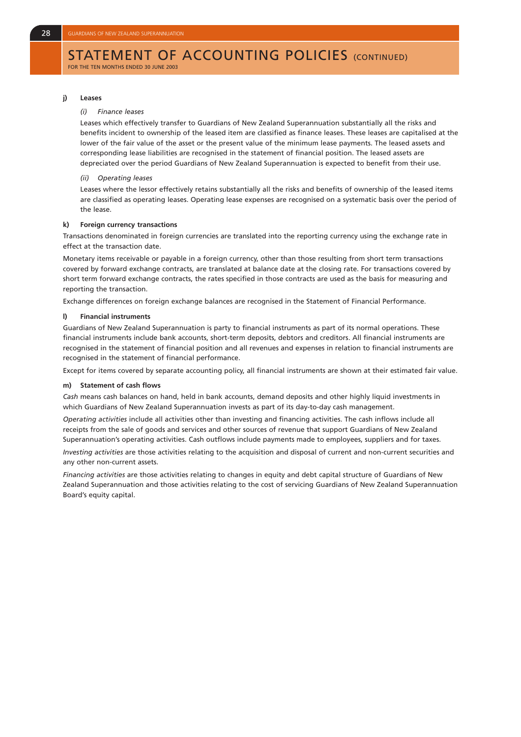#### STATEMENT OF ACCOUNTING POLICIES (CONTINUED) FOR THE TEN MONTHS ENDED 30 JUNE 2003

#### **j) Leases**

#### *(i) Finance leases*

Leases which effectively transfer to Guardians of New Zealand Superannuation substantially all the risks and benefits incident to ownership of the leased item are classified as finance leases. These leases are capitalised at the lower of the fair value of the asset or the present value of the minimum lease payments. The leased assets and corresponding lease liabilities are recognised in the statement of financial position. The leased assets are depreciated over the period Guardians of New Zealand Superannuation is expected to benefit from their use.

#### *(ii) Operating leases*

Leases where the lessor effectively retains substantially all the risks and benefits of ownership of the leased items are classified as operating leases. Operating lease expenses are recognised on a systematic basis over the period of the lease.

#### **k) Foreign currency transactions**

Transactions denominated in foreign currencies are translated into the reporting currency using the exchange rate in effect at the transaction date.

Monetary items receivable or payable in a foreign currency, other than those resulting from short term transactions covered by forward exchange contracts, are translated at balance date at the closing rate. For transactions covered by short term forward exchange contracts, the rates specified in those contracts are used as the basis for measuring and reporting the transaction.

Exchange differences on foreign exchange balances are recognised in the Statement of Financial Performance.

#### **l) Financial instruments**

Guardians of New Zealand Superannuation is party to financial instruments as part of its normal operations. These financial instruments include bank accounts, short-term deposits, debtors and creditors. All financial instruments are recognised in the statement of financial position and all revenues and expenses in relation to financial instruments are recognised in the statement of financial performance.

Except for items covered by separate accounting policy, all financial instruments are shown at their estimated fair value.

#### **m) Statement of cash flows**

*Cash* means cash balances on hand, held in bank accounts, demand deposits and other highly liquid investments in which Guardians of New Zealand Superannuation invests as part of its day-to-day cash management.

*Operating activities* include all activities other than investing and financing activities. The cash inflows include all receipts from the sale of goods and services and other sources of revenue that support Guardians of New Zealand Superannuation's operating activities. Cash outflows include payments made to employees, suppliers and for taxes.

*Investing activities* are those activities relating to the acquisition and disposal of current and non-current securities and any other non-current assets.

*Financing activities* are those activities relating to changes in equity and debt capital structure of Guardians of New Zealand Superannuation and those activities relating to the cost of servicing Guardians of New Zealand Superannuation Board's equity capital.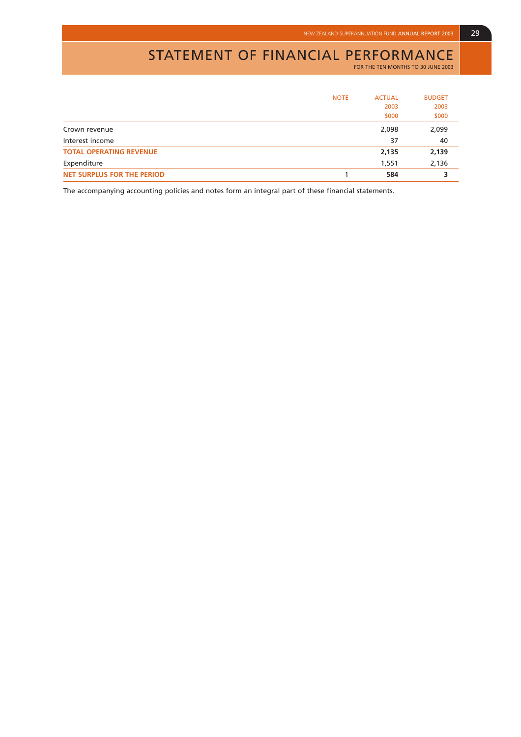# STATEMENT OF FINANCIAL PERFORMANCE

FOR THE TEN MONTHS TO 30 JUNE 2003

|                                   | <b>NOTE</b> | <b>ACTUAL</b> | <b>BUDGET</b> |
|-----------------------------------|-------------|---------------|---------------|
|                                   |             | 2003          | 2003          |
|                                   |             | \$000         | \$000         |
| Crown revenue                     |             | 2,098         | 2,099         |
| Interest income                   |             | 37            | 40            |
| <b>TOTAL OPERATING REVENUE</b>    |             | 2,135         | 2,139         |
| Expenditure                       |             | 1,551         | 2,136         |
| <b>NET SURPLUS FOR THE PERIOD</b> |             | 584           |               |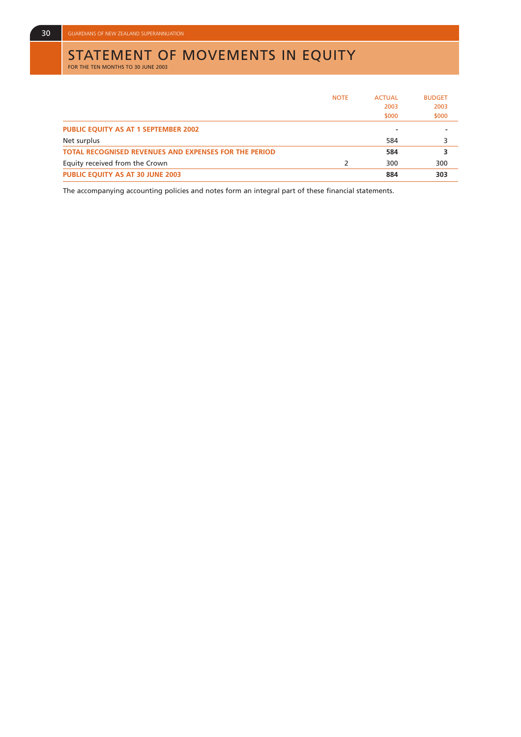# STATEMENT OF MOVEMENTS IN EQUITY<br>FOR THE TEN MONTHS TO 30 JUNE 2003

|                                                              | <b>NOTE</b> | <b>ACTUAL</b> | <b>BUDGET</b> |
|--------------------------------------------------------------|-------------|---------------|---------------|
|                                                              |             | 2003          | 2003          |
|                                                              |             | \$000         | \$000         |
| <b>PUBLIC EQUITY AS AT 1 SEPTEMBER 2002</b>                  |             |               |               |
| Net surplus                                                  |             | 584           | 3             |
| <b>TOTAL RECOGNISED REVENUES AND EXPENSES FOR THE PERIOD</b> |             | 584           | з             |
| Equity received from the Crown                               | 2           | 300           | 300           |
| <b>PUBLIC EQUITY AS AT 30 JUNE 2003</b>                      |             | 884           | 303           |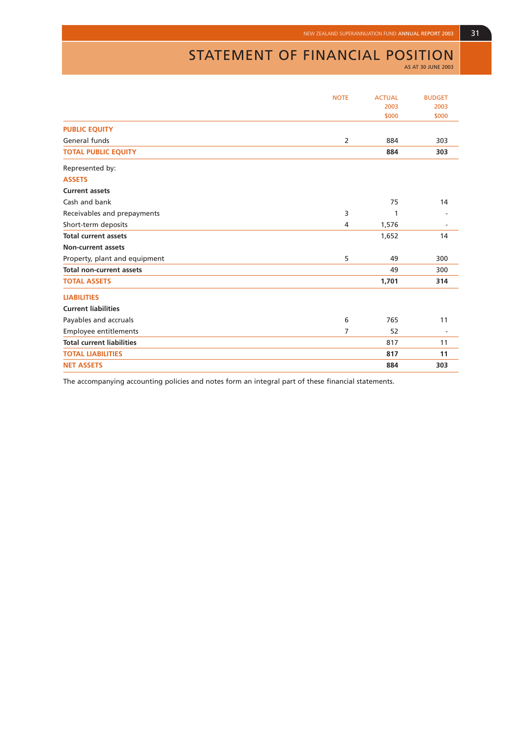# STATEMENT OF FINANCIAL POSITION

AS AT 30 JUNE 2003

|                                  | <b>NOTE</b>    | <b>ACTUAL</b> | <b>BUDGET</b>            |
|----------------------------------|----------------|---------------|--------------------------|
|                                  |                | 2003          | 2003                     |
|                                  |                | \$000         | \$000                    |
| <b>PUBLIC EQUITY</b>             |                |               |                          |
| General funds                    | $\overline{2}$ | 884           | 303                      |
| <b>TOTAL PUBLIC EQUITY</b>       |                | 884           | 303                      |
| Represented by:                  |                |               |                          |
| <b>ASSETS</b>                    |                |               |                          |
| <b>Current assets</b>            |                |               |                          |
| Cash and bank                    |                | 75            | 14                       |
| Receivables and prepayments      | 3              | 1             |                          |
| Short-term deposits              | 4              | 1,576         |                          |
| <b>Total current assets</b>      |                | 1,652         | 14                       |
| <b>Non-current assets</b>        |                |               |                          |
| Property, plant and equipment    | 5              | 49            | 300                      |
| <b>Total non-current assets</b>  |                | 49            | 300                      |
| <b>TOTAL ASSETS</b>              |                | 1,701         | 314                      |
| <b>LIABILITIES</b>               |                |               |                          |
| <b>Current liabilities</b>       |                |               |                          |
| Payables and accruals            | 6              | 765           | 11                       |
| Employee entitlements            | 7              | 52            | $\overline{\phantom{a}}$ |
| <b>Total current liabilities</b> |                | 817           | 11                       |
| <b>TOTAL LIABILITIES</b>         |                | 817           | 11                       |
| <b>NET ASSETS</b>                |                | 884           | 303                      |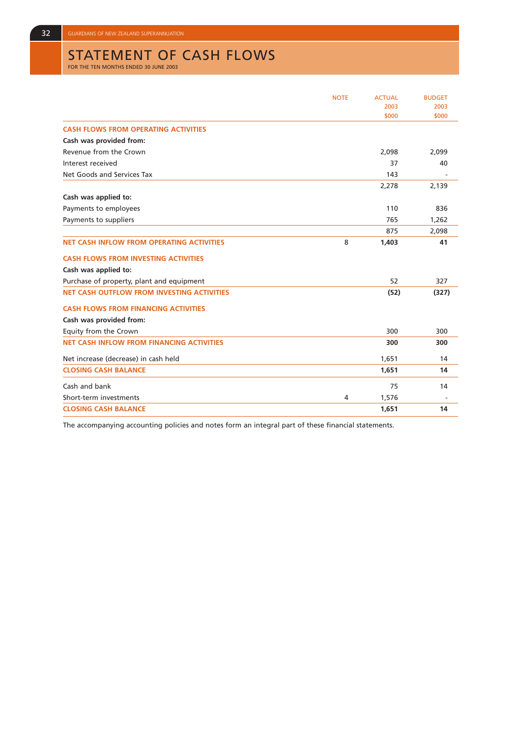# STATEMENT OF CASH FLOWS<br>FOR THE TEN MONTHS ENDED 30 JUNE 2003

|                                                   | <b>NOTE</b> | <b>ACTUAL</b> | <b>BUDGET</b> |
|---------------------------------------------------|-------------|---------------|---------------|
|                                                   |             | 2003          | 2003          |
|                                                   |             | \$000         | \$000         |
| <b>CASH FLOWS FROM OPERATING ACTIVITIES</b>       |             |               |               |
| Cash was provided from:                           |             |               |               |
| Revenue from the Crown                            |             | 2,098         | 2,099         |
| Interest received                                 |             | 37            | 40            |
| Net Goods and Services Tax                        |             | 143           |               |
|                                                   |             | 2,278         | 2,139         |
| Cash was applied to:                              |             |               |               |
| Payments to employees                             |             | 110           | 836           |
| Payments to suppliers                             |             | 765           | 1,262         |
|                                                   |             | 875           | 2,098         |
| <b>NET CASH INFLOW FROM OPERATING ACTIVITIES</b>  | 8           | 1,403         | 41            |
| <b>CASH FLOWS FROM INVESTING ACTIVITIES</b>       |             |               |               |
| Cash was applied to:                              |             |               |               |
| Purchase of property, plant and equipment         |             | 52            | 327           |
| <b>NET CASH OUTFLOW FROM INVESTING ACTIVITIES</b> |             | (52)          | (327)         |
| <b>CASH FLOWS FROM FINANCING ACTIVITIES</b>       |             |               |               |
| Cash was provided from:                           |             |               |               |
| Equity from the Crown                             |             | 300           | 300           |
| <b>NET CASH INFLOW FROM FINANCING ACTIVITIES</b>  |             | 300           | 300           |
| Net increase (decrease) in cash held              |             | 1,651         | 14            |
| <b>CLOSING CASH BALANCE</b>                       |             | 1,651         | 14            |
| Cash and bank                                     |             | 75            | 14            |
| Short-term investments                            | 4           | 1,576         |               |
| <b>CLOSING CASH BALANCE</b>                       |             | 1,651         | 14            |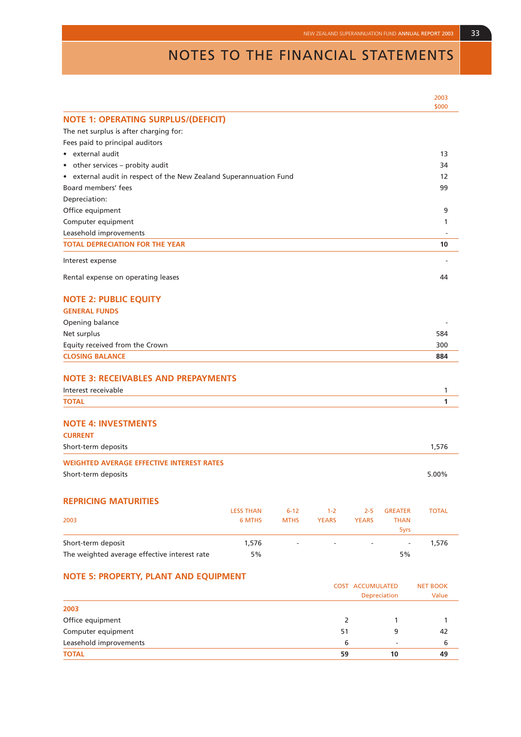# NOTES TO THE FINANCIAL STATEMENTS

|                                                                       |                  |             |              |              |                          | 2003<br>\$000 |
|-----------------------------------------------------------------------|------------------|-------------|--------------|--------------|--------------------------|---------------|
| <b>NOTE 1: OPERATING SURPLUS/(DEFICIT)</b>                            |                  |             |              |              |                          |               |
| The net surplus is after charging for:                                |                  |             |              |              |                          |               |
| Fees paid to principal auditors                                       |                  |             |              |              |                          |               |
| external audit<br>$\bullet$                                           |                  |             |              |              |                          | 13            |
| other services - probity audit<br>$\bullet$                           |                  |             |              |              |                          | 34            |
| external audit in respect of the New Zealand Superannuation Fund<br>۰ |                  |             |              |              |                          | 12            |
| Board members' fees                                                   |                  |             |              |              |                          | 99            |
| Depreciation:                                                         |                  |             |              |              |                          |               |
| Office equipment                                                      |                  |             |              |              |                          | 9             |
| Computer equipment                                                    |                  |             |              |              |                          | 1             |
| Leasehold improvements                                                |                  |             |              |              |                          |               |
| <b>TOTAL DEPRECIATION FOR THE YEAR</b>                                |                  |             |              |              |                          | 10            |
| Interest expense                                                      |                  |             |              |              |                          |               |
| Rental expense on operating leases                                    |                  |             |              |              |                          | 44            |
| <b>NOTE 2: PUBLIC EQUITY</b>                                          |                  |             |              |              |                          |               |
| <b>GENERAL FUNDS</b>                                                  |                  |             |              |              |                          |               |
| Opening balance                                                       |                  |             |              |              |                          |               |
| Net surplus                                                           |                  |             |              |              |                          | 584           |
| Equity received from the Crown                                        |                  |             |              |              |                          | 300           |
| <b>CLOSING BALANCE</b>                                                |                  |             |              |              |                          | 884           |
|                                                                       |                  |             |              |              |                          |               |
| <b>NOTE 3: RECEIVABLES AND PREPAYMENTS</b>                            |                  |             |              |              |                          |               |
| Interest receivable                                                   |                  |             |              |              |                          | 1             |
| <b>TOTAL</b>                                                          |                  |             |              |              |                          | 1             |
| <b>NOTE 4: INVESTMENTS</b>                                            |                  |             |              |              |                          |               |
| <b>CURRENT</b>                                                        |                  |             |              |              |                          |               |
| Short-term deposits                                                   |                  |             |              |              |                          | 1,576         |
| <b>WEIGHTED AVERAGE EFFECTIVE INTEREST RATES</b>                      |                  |             |              |              |                          |               |
| Short-term deposits                                                   |                  |             |              |              |                          | 5.00%         |
| <b>REPRICING MATURITIES</b>                                           |                  |             |              |              |                          |               |
|                                                                       | <b>LESS THAN</b> | $6 - 12$    | $1 - 2$      | $2 - 5$      | <b>GREATER</b>           | <b>TOTAL</b>  |
| 2003                                                                  | 6 MTHS           | <b>MTHS</b> | <b>YEARS</b> | <b>YEARS</b> | <b>THAN</b><br>5yrs      |               |
| Short-term deposit                                                    | 1,576            |             |              |              | $\overline{\phantom{m}}$ | 1,576         |
| The weighted average effective interest rate                          | 5%               |             |              |              | 5%                       |               |
| <b>NOTE 5: PROPERTY, PLANT AND EQUIPMENT</b>                          |                  |             |              |              |                          |               |

|                        | <b>COST ACCUMULATED</b><br>Depreciation | <b>NET BOOK</b><br>Value |    |
|------------------------|-----------------------------------------|--------------------------|----|
| 2003                   |                                         |                          |    |
| Office equipment       |                                         |                          |    |
| Computer equipment     | 51                                      | q                        | 42 |
| Leasehold improvements | 6                                       | $\overline{\phantom{a}}$ | 6  |
| <b>TOTAL</b>           | 59                                      | 10                       | 49 |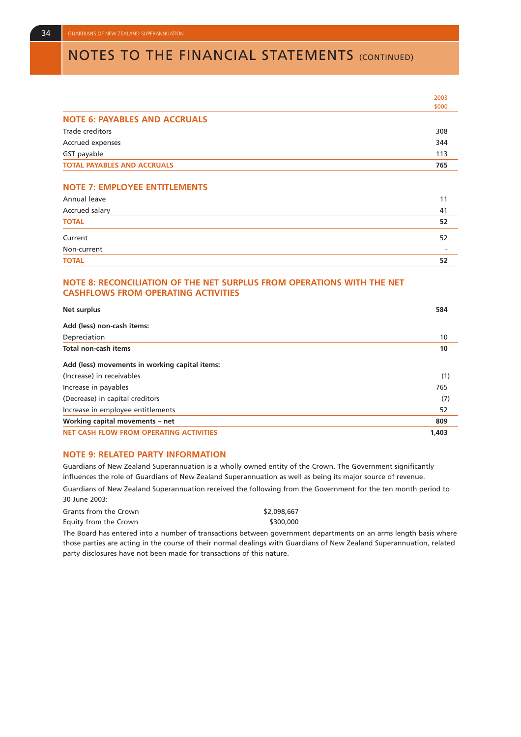# **NOTES TO THE FINANCIAL STATEMENTS (CONTINUED)**

|                                                                                                                      | 2003  |
|----------------------------------------------------------------------------------------------------------------------|-------|
|                                                                                                                      | \$000 |
| <b>NOTE 6: PAYABLES AND ACCRUALS</b>                                                                                 |       |
| Trade creditors                                                                                                      | 308   |
| Accrued expenses                                                                                                     | 344   |
| GST payable                                                                                                          | 113   |
| <b>TOTAL PAYABLES AND ACCRUALS</b>                                                                                   | 765   |
| <b>NOTE 7: EMPLOYEE ENTITLEMENTS</b>                                                                                 |       |
| Annual leave                                                                                                         | 11    |
| Accrued salary                                                                                                       | 41    |
| <b>TOTAL</b>                                                                                                         | 52    |
| Current                                                                                                              | 52    |
| Non-current                                                                                                          |       |
| <b>TOTAL</b>                                                                                                         | 52    |
| NOTE 8: RECONCILIATION OF THE NET SURPLUS FROM OPERATIONS WITH THE NET<br><b>CASHFLOWS FROM OPERATING ACTIVITIES</b> |       |
| <b>Net surplus</b>                                                                                                   | 584   |
| Add (less) non-cash items:                                                                                           |       |
| Depreciation                                                                                                         | 10    |
| Total non-cash items                                                                                                 | 10    |
| Add (less) movements in working capital items:                                                                       |       |
| (Increase) in receivables                                                                                            | (1)   |
| Increase in payables                                                                                                 | 765   |
| (Decrease) in capital creditors                                                                                      | (7)   |
| Increase in employee entitlements                                                                                    | 52    |
| Working capital movements - net                                                                                      | 809   |
| <b>NET CASH FLOW FROM OPERATING ACTIVITIES</b>                                                                       | 1,403 |

#### **NOTE 9: RELATED PARTY INFORMATION**

Guardians of New Zealand Superannuation is a wholly owned entity of the Crown. The Government significantly influences the role of Guardians of New Zealand Superannuation as well as being its major source of revenue.

Guardians of New Zealand Superannuation received the following from the Government for the ten month period to 30 June 2003:

| Grants from the Crown |  |  | \$2,098,667 |
|-----------------------|--|--|-------------|
| Equity from the Crown |  |  | \$300,000   |
|                       |  |  |             |

The Board has entered into a number of transactions between government departments on an arms length basis where those parties are acting in the course of their normal dealings with Guardians of New Zealand Superannuation, related party disclosures have not been made for transactions of this nature.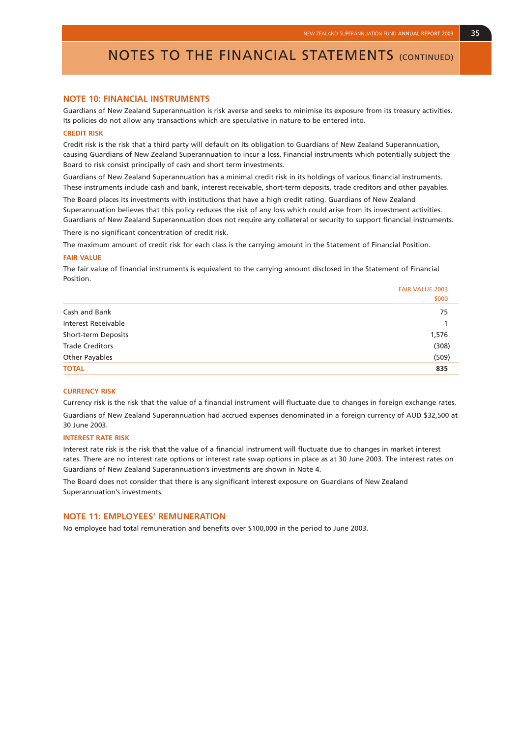FAIR VALUE 2003

### NOTES TO THE FINANCIAL STATEMENTS (CONTINUED)

#### **NOTE 10: FINANCIAL INSTRUMENTS**

Guardians of New Zealand Superannuation is risk averse and seeks to minimise its exposure from its treasury activities. Its policies do not allow any transactions which are speculative in nature to be entered into.

#### **CREDIT RISK**

Credit risk is the risk that a third party will default on its obligation to Guardians of New Zealand Superannuation, causing Guardians of New Zealand Superannuation to incur a loss. Financial instruments which potentially subject the Board to risk consist principally of cash and short term investments.

Guardians of New Zealand Superannuation has a minimal credit risk in its holdings of various financial instruments. These instruments include cash and bank, interest receivable, short-term deposits, trade creditors and other payables.

The Board places its investments with institutions that have a high credit rating. Guardians of New Zealand Superannuation believes that this policy reduces the risk of any loss which could arise from its investment activities. Guardians of New Zealand Superannuation does not require any collateral or security to support financial instruments. There is no significant concentration of credit risk.

The maximum amount of credit risk for each class is the carrying amount in the Statement of Financial Position.

#### **FAIR VALUE**

The fair value of financial instruments is equivalent to the carrying amount disclosed in the Statement of Financial **Position** 

|                            | \$000 |
|----------------------------|-------|
| Cash and Bank              | 75    |
| <b>Interest Receivable</b> |       |
| Short-term Deposits        | 1,576 |
| <b>Trade Creditors</b>     | (308) |
| Other Payables             | (509) |
| <b>TOTAL</b>               | 835   |
|                            |       |

#### **CURRENCY RISK**

Currency risk is the risk that the value of a financial instrument will fluctuate due to changes in foreign exchange rates. Guardians of New Zealand Superannuation had accrued expenses denominated in a foreign currency of AUD \$32,500 at 30 June 2003.

#### **INTEREST RATE RISK**

Interest rate risk is the risk that the value of a financial instrument will fluctuate due to changes in market interest rates. There are no interest rate options or interest rate swap options in place as at 30 June 2003. The interest rates on Guardians of New Zealand Superannuation's investments are shown in Note 4.

The Board does not consider that there is any significant interest exposure on Guardians of New Zealand Superannuation's investments.

#### **NOTE 11: EMPLOYEES' REMUNERATION**

No employee had total remuneration and benefits over \$100,000 in the period to June 2003.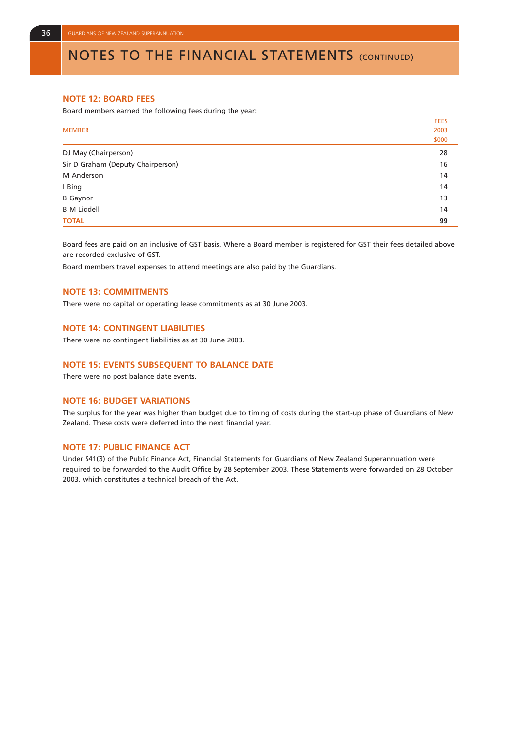## NOTES TO THE FINANCIAL STATEMENTS (CONTINUED)

#### **NOTE 12: BOARD FEES**

Board members earned the following fees during the year:

|                                   | <b>FEES</b> |
|-----------------------------------|-------------|
| <b>MEMBER</b>                     | 2003        |
|                                   | \$000       |
| DJ May (Chairperson)              | 28          |
| Sir D Graham (Deputy Chairperson) | 16          |
| M Anderson                        | 14          |
| I Bing                            | 14          |
| <b>B</b> Gaynor                   | 13          |
| <b>B M Liddell</b>                | 14          |
| <b>TOTAL</b>                      | 99          |

Board fees are paid on an inclusive of GST basis. Where a Board member is registered for GST their fees detailed above are recorded exclusive of GST.

Board members travel expenses to attend meetings are also paid by the Guardians.

#### **NOTE 13: COMMITMENTS**

There were no capital or operating lease commitments as at 30 June 2003.

#### **NOTE 14: CONTINGENT LIABILITIES**

There were no contingent liabilities as at 30 June 2003.

#### **NOTE 15: EVENTS SUBSEQUENT TO BALANCE DATE**

There were no post balance date events.

#### **NOTE 16: BUDGET VARIATIONS**

The surplus for the year was higher than budget due to timing of costs during the start-up phase of Guardians of New Zealand. These costs were deferred into the next financial year.

#### **NOTE 17: PUBLIC FINANCE ACT**

Under S41(3) of the Public Finance Act, Financial Statements for Guardians of New Zealand Superannuation were required to be forwarded to the Audit Office by 28 September 2003. These Statements were forwarded on 28 October 2003, which constitutes a technical breach of the Act.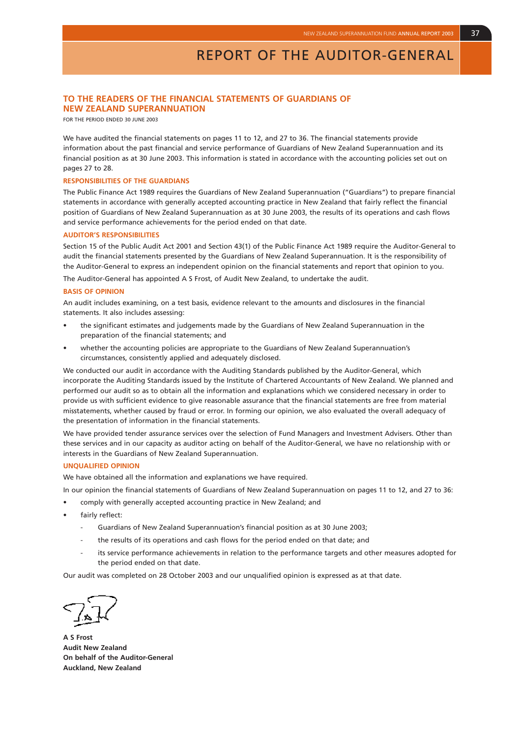#### **TO THE READERS OF THE FINANCIAL STATEMENTS OF GUARDIANS OF NEW ZEALAND SUPERANNUATION**

FOR THE PERIOD ENDED 30 JUNE 2003

We have audited the financial statements on pages 11 to 12, and 27 to 36. The financial statements provide information about the past financial and service performance of Guardians of New Zealand Superannuation and its financial position as at 30 June 2003. This information is stated in accordance with the accounting policies set out on pages 27 to 28.

#### **RESPONSIBILITIES OF THE GUARDIANS**

The Public Finance Act 1989 requires the Guardians of New Zealand Superannuation ("Guardians") to prepare financial statements in accordance with generally accepted accounting practice in New Zealand that fairly reflect the financial position of Guardians of New Zealand Superannuation as at 30 June 2003, the results of its operations and cash flows and service performance achievements for the period ended on that date.

#### **AUDITOR'S RESPONSIBILITIES**

Section 15 of the Public Audit Act 2001 and Section 43(1) of the Public Finance Act 1989 require the Auditor-General to audit the financial statements presented by the Guardians of New Zealand Superannuation. It is the responsibility of the Auditor-General to express an independent opinion on the financial statements and report that opinion to you.

The Auditor-General has appointed A S Frost, of Audit New Zealand, to undertake the audit.

#### **BASIS OF OPINION**

An audit includes examining, on a test basis, evidence relevant to the amounts and disclosures in the financial statements. It also includes assessing:

- the significant estimates and judgements made by the Guardians of New Zealand Superannuation in the preparation of the financial statements; and
- whether the accounting policies are appropriate to the Guardians of New Zealand Superannuation's circumstances, consistently applied and adequately disclosed.

We conducted our audit in accordance with the Auditing Standards published by the Auditor-General, which incorporate the Auditing Standards issued by the Institute of Chartered Accountants of New Zealand. We planned and performed our audit so as to obtain all the information and explanations which we considered necessary in order to provide us with sufficient evidence to give reasonable assurance that the financial statements are free from material misstatements, whether caused by fraud or error. In forming our opinion, we also evaluated the overall adequacy of the presentation of information in the financial statements.

We have provided tender assurance services over the selection of Fund Managers and Investment Advisers. Other than these services and in our capacity as auditor acting on behalf of the Auditor-General, we have no relationship with or interests in the Guardians of New Zealand Superannuation.

#### **UNQUALIFIED OPINION**

We have obtained all the information and explanations we have required.

- In our opinion the financial statements of Guardians of New Zealand Superannuation on pages 11 to 12, and 27 to 36:
- comply with generally accepted accounting practice in New Zealand; and
- fairly reflect:
	- Guardians of New Zealand Superannuation's financial position as at 30 June 2003;
	- the results of its operations and cash flows for the period ended on that date; and
	- its service performance achievements in relation to the performance targets and other measures adopted for the period ended on that date.

Our audit was completed on 28 October 2003 and our unqualified opinion is expressed as at that date.

**A S Frost Audit New Zealand On behalf of the Auditor-General Auckland, New Zealand**